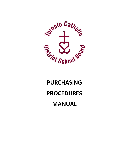

# **PURCHASING PROCEDURES MANUAL**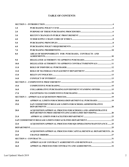# **TABLE OF CONTENTS**

| 1.0         |                                                                                                                             |  |
|-------------|-----------------------------------------------------------------------------------------------------------------------------|--|
| 2.0         |                                                                                                                             |  |
| 3.0         |                                                                                                                             |  |
| 4.0         |                                                                                                                             |  |
| 5.0         |                                                                                                                             |  |
| 6.0         |                                                                                                                             |  |
| 7.0         |                                                                                                                             |  |
| 8.0         | AREAS OF RESPONSIBILITY FOR PURCHASES, CONTRACTS AND                                                                        |  |
| 9.0         |                                                                                                                             |  |
| 10.0        | DELEGATED AUTHORITY TO APPROVE CONTRACTS/RENEWALS 11                                                                        |  |
| 11.0        |                                                                                                                             |  |
| 12.0        |                                                                                                                             |  |
| 13.0        |                                                                                                                             |  |
| 14.0        |                                                                                                                             |  |
|             |                                                                                                                             |  |
| 15.0        |                                                                                                                             |  |
| 16.0        | <b>COLLABORATIVE PURCHASING/GOVERNMENT STANDING OFFERS  15</b>                                                              |  |
| 17.0        |                                                                                                                             |  |
|             |                                                                                                                             |  |
| 18.0        | APPROVAL LIMITS FOR SCHOOLS/DEPARTMENTAL PURCHASES  19                                                                      |  |
| 19.0        | SAP COMMITMENT/RELEASE LIMITS FOR SCHOOL/ADMINISTRATIVE                                                                     |  |
| <b>20.0</b> | <b>ACOUISITION/APPROVAL PROCESS FOR SCHOOLS AND ADMINISTRATIVE</b><br>DEPARTMENTS PROCUREMENTS (INCLUDES LIMIT REVISIONS)20 |  |
| 21.0        |                                                                                                                             |  |
|             |                                                                                                                             |  |
| 22.0        | ACQUISITION/APPROVAL PROCESS FOR SQS OPERATIONS/MAINTENANCE25                                                               |  |
|             |                                                                                                                             |  |
| 23.0        | <b>ACQUISITION/APPROVAL PROCESS FOR CAPITAL/RENEWAL DEPARTMENTS 26</b>                                                      |  |
| 24.0        |                                                                                                                             |  |
|             |                                                                                                                             |  |
| 25.0        | APPROVALS OF CONTRACT AGREEMENTS AND RENEWALS31                                                                             |  |
| 26.0        |                                                                                                                             |  |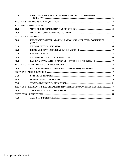| 27.0 | APPROVAL PROCESS FOR ONGOING CONTRACTS AND RENEWAL                        |  |
|------|---------------------------------------------------------------------------|--|
|      |                                                                           |  |
|      |                                                                           |  |
| 28.0 |                                                                           |  |
| 29.0 |                                                                           |  |
|      |                                                                           |  |
| 30.0 | PURCHASING/MATERIALS EVALUATION AND APPROVAL COMMITTEE                    |  |
| 31.0 |                                                                           |  |
| 32.0 |                                                                           |  |
| 33.0 |                                                                           |  |
| 34.0 |                                                                           |  |
| 35.0 | FACILITY EVALUATIONS MANAGEMENT COMMITTEE (FEMC)39                        |  |
|      |                                                                           |  |
| 36.0 | PROCEDURES FOR TENDERS, PROPOSALS AND QUOTATIONS 44                       |  |
|      |                                                                           |  |
| 37.0 |                                                                           |  |
| 38.0 |                                                                           |  |
| 39.0 |                                                                           |  |
|      | SECTION 9 - LEGISLATIVE REQUIREMENTS THAT IMPACT PROCUREMENT ACTIVITIES53 |  |
| 40.0 |                                                                           |  |
|      |                                                                           |  |
| 41.0 |                                                                           |  |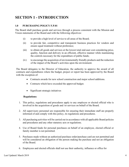# <span id="page-3-0"></span>**SECTION 1 - INTRODUCTION**

# <span id="page-3-1"></span> **1.0 PURCHASING POLICY F.P.01**

The Board shall purchase goods and services through a process consistent with the Mission and Vision statements of the Board and with the following objectives:

- (i) to provide a high level of service to all areas of the Board;
- ensure equal treatment without preference; (ii) to provide fair, competitive and transparent business practices for vendors and
- the controls necessary for the expenditure of public funds; (iii) to obtain all goods and services at the lowest total end-user cost considering price, quality, function and delivery in an efficient, effective manner while maintaining
- (iv) to encourage the acquisition of environmentally friendly products and the reduction of the impact of the Board's activities upon the environment.

The Board delegates to the Director of Education, the authority to approve the award of all contracts and expenditures where the budget, project or report has been approved by the Board with the exception of:

- Contracts awards for new school construction and major school additions.
- Contracts which have exceeded the approved budget.
- Significant strategic initiatives

# **Regulations:**

- 1. This policy, regulations and procedures apply to any employee or elected official who is involved in the acquisition of goods and /or services on behalf of the Board.
- informed of and comply with this policy, its regulations and procedures. 2. All supervisory personnel are responsible for ensuring their immediate staff are properly
- 3. All purchasing activities will be carried out in accordance with all applicable Board policies and procedures and any other statutory acts or regulations.
- family member is not permitted. 4. Use of Board funds for personal purchases on behalf of an employee, elected official or
- 5. Purchases made without an authorized purchase order/purchase card are not permitted and of the Board. will be considered an obligation of the person making the purchase and not an obligation
- 6. Employees and elected officials shall not use their authority, influence or office for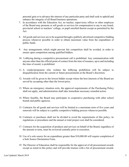personal gain or to advance the interest of any particular party and shall seek to uphold and enhance the integrity of all Board business operations.

- 7. In accordance with the Education Act, no teacher, supervisory officer or other employee of the Board may promote or sell goods or services for compensation to any to any board, provincial school or teachers' college, or pupil enrolled therein except as permitted by the Act.
- 8. All goods and services are to be acquired through a publicly advertised competitive bidding public funds. process whenever possible in order to obtain maximum value from the expenditure of
- ensure open competition among qualified bidders. 9. Any arrangements which might prevent fair competition shall be avoided, in order to
- anyone other than the official point of contact from the time of issuance, up to and including the time of award, is prohibited. 10. Lobbying during a competitive procurement call is prohibited. Any communication with
- disqualification from the current or future procurements at the Board's discretion. 11. A vendor/proponent who violates the lobbying prohibition will be subject to
- 12. Awards will be given to the lowest bidder except where the best interests of the Board are served by accepting other than the lowest price.
- shall not apply, and administration shall take immediate necessary remedial action. 13. Where an emergency situation exits, the approval requirements of the Purchasing Policy
- boards and public agencies. 14. Where feasible, the Board may participate in cooperative purchasing with other school
- renewals will be subject to a public competitive bidding process whenever possible. 15. Contracts for all goods and services will be limited to a maximum term of five years and
- regulations or procedures and the annual or total project cost shall be considered. 16. Contracts or purchases shall not be divided to avoid the requirements of this policy, its
- 17. Contracts for the acquisition of products and services on behalf of the Board, regardless of the amount or term, must be reviewed centrally prior to execution.
- a Sole Source Declaration Form. 18. Use of a sole source for an expenditure greater than \$[10,000.00](https://10,000.00) will require completion of
- except as noted in this policy and will provide trustees with a list of procurement awards 19. The Director of Education shall be responsible for the approval of all procurement awards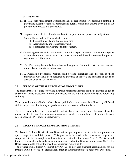on a regular basis

- procurement process and procedures. 20. The Materials Management Department **s**hall be responsible for operating a centralized purchasing system for tenders, contracts and purchases and have general oversight of the
- 21. Employees and elected officials involved in the procurement process are subject to a
	- Supply Chain Code of Ethics which requires:
		- (i) Personal Integrity and Professionalism;
		- (ii) Accountability and Transparency and;
		- (iii) Compliance and Continuous Improvement.
- regardless of dollar value. 22. Consulting services which are intended to provide expert or strategic advice for purposes of consideration and decision making must be acquired through a competitive process
- 23. The Purchasing/Materials Evaluation and Approval Committee will review tenders, proposals and quotations before issue.
- individuals who have been delegated to purchase or approve the purchase of goods or services on behalf of the Board. 24. A Purchasing Procedures Manual shall provide guidelines and direction to those

# <span id="page-5-0"></span>**2.0 PURPOSE OF THESE PURCHASING PROCEDURES**

 and services and to protect the interests of the Board and the individuals with delegated purchasing The procedures are designed to provide clear and consistent direction for the acquisition of goods authority.

 staff in the process of obtaining all goods and/or services on behalf of the Board These procedures and all other related Board policies/procedures must be followed by all Board

 procurement with respect to openness, transparency and also for compliance with applicable trade agreements and BPS Procurement Directive These procedures have been updated to reflect the recent changes in the area of public

# <span id="page-5-1"></span>**3.0 RECENT CHANGES IN PUBLIC PROCUREMENT**

The Toronto Catholic District School Board utilizes public procurement practices to promote an open, competitive and fair process. This process is intended to be transparent, to generate competition in the marketplace and to obtain the best value for money. The TCDSB is funded through provincial grants, and as a public entity and part of the Broader Public Sector (BPS), the Board is required to follow the specific procurement requirements.

The Broader Public Sector Accountability Act (2010) increased financial accountability for the Broader Public Sector (BPS) organizations through the introduction of a number of Directives.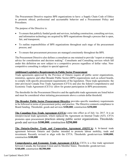The Procurement Directive requires BPS organizations to have: a Supply Chain Code of Ethics to promote ethical, professional and accountable behavior and a Procurement Policy and Procedures.

The purpose of the Directive is:

- • To ensure that publicly funded goods and services, including construction, consulting services, and information technology are acquired by BPS organizations through a process that is open, fair, and transparent;
- process; and • To outline responsibilities of BPS organizations throughout each stage of the procurement
- To ensure that procurement processes are managed consistently throughout the BPS.

 The Procurement Directive also defines a consultant as one retained to provide "expert or strategic competitive consulting is subject to special approval. advice for consideration and decision making". Consultants and Consulting services which fall under this definition are now subject to a competitive process regardless of dollar value. Non-

# **Additional Legislative Requirements in Public Sector Procurement**

Trade agreements approved by the Province of Ontario require all public sector organizations, ministries, agencies and other Broader Public Sector (BPS) organizations such as school boards, to comply with specific procurement requirements of the legislation. These trade agreements- the inter provincial Canada Free Trade Agreement (CFTA) and also the federal Comprehensive and Economic Trade Agreement (CETA)- allow for greater participation in BPS procurements.

 The thresholds for the Procurement Directive and the applicable trade agreements are listed below and must be considered when initiating procurements above a certain dollar threshold.

 to be followed in terms of procurement policy and practice. The Directive connects compliance to **The Broader Public Sector Procurement Directive** provides specific mandatory requirements Board funding. Thresholds: goods and services **\$100,000**; construction **\$250,000** 

**The Canadian Free Trade Agreement (CFTA)** came into effect as of July 1st, 2017. It is an interprovincial trade agreement, which replaced the Agreement on Internal Trade (AIT). CFTA promotes open procurement practices among public sector organizations. Thresholds: goods and services **\$100,000**; construction **\$250,000** 

**[The Ontario-Quebec Trade and Cooperation Agreement \(OQTCA\)](https://www.ontario.ca/document/trade-and-cooperation-agreement-between-ontario-and-quebec-0)** A bi-lateral trade agreement between Ontario and Quebec intended to promote labour mobility, trade and investment. Recently revised to align with the CFTA. Thresholds: goods/services **\$100,000**; construction **\$100,000** 

**Comprehensive and Economic Trade Agreement (CETA) CETA** is a free trade agreement between Canada, the European Union and its Member States. Thresholds: goods/services **\$340,600**; construction **\$8,500,000**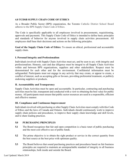# <span id="page-7-0"></span>**4.0 TCDSB SUPPLY CHAIN CODE OF ETHICS**

As a Broader Public Sector (BPS) organization, the Toronto Catholic District School Board adheres to the BPS Supply Chain Code of Ethics.

The Code is specifically applicable to all employees involved in procurements, requisitioning, approvals and payments. This Supply Chain Code of Ethics is intended to define basic principles and standards of behavior for anyone involved in supply chain activities procurement. All employees shall base their decisions and actions on the following principles.

**Goal of the Supply Chain Code of Ethics:** To ensure an ethical, professional and accountable supply chain.

# **I. Personal Integrity and Professionalism**

 conflict of interest, such as accepting gifts or favours, providing preferential treatment, or publicly endorsing suppliers or products. Individuals involved with Supply Chain Activities must act, and be seen to act, with integrity and professionalism. Honesty, care and due diligence must be integral to all Supply Chain Activities within and between BPS organizations, suppliers and other stakeholders. Respect must be demonstrated for each other and for the environment. Confidential information must be safeguarded. Participants must not engage in any activity that may create, or appear to create, a

# **II. Accountability and Transparency**

 activities must be fair, transparent and conducted with a view to obtaining the best value for public money. All participants must ensure that public sector resources are used in a responsible, efficient and effective manner. Supply Chain Activities must be open and accountable. In particular, contracting and purchasing

# **III. Compliance and Continuous Improvement**

 Individuals involved with purchasing or other Supply Chain Activities must comply with this Code and to share leading practices. of Ethics and the laws of Canada and Ontario. Individuals should continuously work to improve supply chain policies and procedures, to improve their supply chain knowledge and skill levels,

# <span id="page-7-1"></span>**5.0 PURCHASING PRINCIPLES**

- and the most cost effective use of public funds. **5.1** The Board recognizes that fair and open competition is a basic tenet of public purchasing
- the best source at the best price with optimum quality. **5.2** The prime objective is to obtain the right product or service in the correct quantity from
- relationships, both inside and outside the Board. **5.3** The Board believes that sound purchasing practices and procedures based on fair business principles are required to maintain an unimpeachable standard of integrity in all business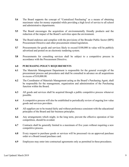- **5.4** The Board supports the concept of "Centralized Purchasing" as a means of obtaining maximum value for money expended while providing a high level of service to all school and administrative departments.
- **5.5** The Board encourages the acquisition of environmentally friendly products and the reduction of the impact of the Board's activities upon the environment.
- Procurement Directive and other procurement related legislation. **5.6** The Board endorses and complies with the provisions of the Broader Public Sector (BPS)
- advertised and posted on an electronic tendering system. **5.7** Procurements for goods and services likely to exceed \$100,000 in value will be publicly
- accordance with the Procurement Directive. **5.8** Procurements for consulting services shall be subject to a competitive process in

#### <span id="page-8-0"></span>**6.0 PURCHASING POLICY REQUIREMENTS**

- in excess of [\\$10,000.00](https://10,000.00). **6.1** The Materials Management Department is responsible for the general oversight of the procurement process and procedures and shall be consulted in advance on all acquisitions
- function within the Board. **6.2** The Coordinator of Materials Management acting as the Board's Purchasing Agent, shall be responsible for the management, organization and administration of the Purchasing
- **6.3** All goods and services shall be acquired through a public competitive process whenever possible.
- **6.4** A competitive process will also be established to periodically review of ongoing low value goods and services providers.
- **6.5** All suppliers are to be treated fairly and without preference consistent with the educational principles of the Board and fair business principles.
- competition, should be avoided. **6.6** Any arrangements which might, in the long term, prevent the effective operation of fair
- competitive process. **6.7** Contracts shall be generally limited to a maximum of five years without requiring a new
- order or a Board issued purchase card. **6.8** Every request to purchase goods or services will be processed via an approved purchase
- **6.9** Employees may enter into contractual agreements only as permitted in these procedures.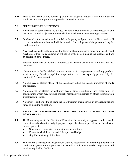confirmed and the appropriate approval to proceed is required. **6.10** Prior to the issue of any tender, quotation or proposal, budget availability must be

#### <span id="page-9-0"></span>**7.0 PURCHASING PROHIBITIONS**

- **7.1** No contract or purchase shall be divided to avoid the requirements of these procedures and the annual or total project requirement shall be considered when awarding a contract.
- **7.2** Purchases/contracts made that do not follow the policy and procedures outlined herein will be considered unauthorized and will be considered an obligation of the person making the purchase/contract.
- an obligation of the Board. **7.3** Any purchase made in the name of the Board without a purchase order or a Board issued purchase card will be considered an obligation of the person making the purchase and not
- **7.4** Personal Purchases on behalf of employees or elected officials of the Board are not permitted.
- Section 217 Education Act. **7.5** No employee of the Board shall promote or market for compensation or sell any goods or services to any Board or pupil for compensation except as expressly permitted by the
- and services. **7.6** No employee or elected official of the Board may bid on the Board's purchases of goods
- consideration which may impinge or might reasonably be deemed by others to impinge on a purchasing decision. **7.7** No employee or elected official may accept gifts, gratuities or any other form of
- funds to meet the obligation. **7.8** No person is authorized to obligate the Board without encumbering, in advance, sufficient

#### <span id="page-9-1"></span>**8.0 AREAS OF RESPONSIBILITY FOR PURCHASES, CONTRACTS AND AGREEMENTS**

- **8.1** The Board delegates to the Director of Education, the authority to approve purchases and the exception of: contract awards where the budget, project or report has been approved by the Board with
	- New school construction and major school additions.
	- Contracts which have exceeded the approved budget.
	- Significant strategic initiatives.
- services required by the Board. **8.2** The Materials Management Department shall be responsible for operating a centralized purchasing system for the purchase and supply of all other materials, equipment and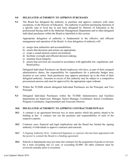#### <span id="page-10-0"></span>**9.0 DELEGATED AUTHORITY TO APPROVE PURCHASES**

 exceptions, to the Director of Education. The authority to perform purchasing functions of individual purchasers within the Board as identified in this section. **9.1** The Board has delegated the authority to purchase and approve contracts with some a specific type or level has in turn been delegated by Director of Education to the professional buying staff in the Materials Management Department and to other delegated

 management and operation of the Board. A clear delegation of authority will: Appropriate delegation of authority is fundamental to the effective and efficient

- a) assign clear authorities and accountabilities;
- b) ensure that decisions and actions are appropriate;
- c) create a sound internal control environment;
- d) facilitate oversight and efficient decision making;
- e) maintain fiscal integrity;
- Board policy. f) ensure that activities are executed in accordance with applicable law, regulations, and

 administrative duties, the responsibility for expenditures for a particular budget area, Delegated Individual Purchasers are Board employees who have, as part of their assigned location or cost centre. Such purchasers may approve purchases up to the limit of their delegated authority. Amounts in excess of this authority may be subject to a competitive procurement process and must be approved by the appropriate super ordinate.

- **9.2** Within the TCDSB schools delegated Individual Purchasers are the Principal, and Vice Principal.
- Program Coordinator, Superintendent and Associate Director. **9.3** Delegated Individual Purchasers within the TCDSB Administrative and Facilities departments are Supervisor, Manager, Senior Manager, Coordinator, Senior Coordinator,

#### <span id="page-10-1"></span>**10.0 DELEGATED AUTHORITY TO APPROVE CONTRACTS/RENEWALS**

- respective parties. **10.1** A contract is an agreement between two or more parties which the parties intend to be binding at law. A contract sets out the promises and responsibilities of each of the
- authority of individuals to approve contracts and renewals. **10.2** Contracts carry financial and legal implications and the Board has limited the signing
- **10.3** A Signing Authority (SA) / Authorized Signatory is a person who has been appointed with the power to commit the Board to a binding agreement.
- **10.4** Schools or departments may not enter into contracts for the acquisition of goods or services reviewed centrally prior to execution. for a term exceeding one (1) year, or exceeding \$5,000. All other contracts must be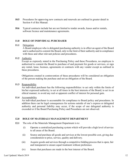- Section 4 of this Manual. **10.5** Procedures for approving new contracts and renewals are outlined in greater detail in
- **10.6** Typical contracts include but are not limited to tender awards, leases and/or rentals, software licence and maintenance agreements.

#### <span id="page-11-0"></span>**11.0 ROLE OF INDIVIDUAL PURCHASER**

#### **11.1** Delegation

 A Board employee who is delegated purchasing authority is in effect an agent of the Board and is authorized to commit the Board, only to the limit of their authority and in compliance with these and other relevant policies and procedures.

#### **11.2** Authority

Except as expressly stated in the Purchasing Policy and these Procedures, no employee is authorized to commit the Board to purchase of and payment for goods or services, or sign any rental, lease, licenses, agreements or contracts with any vendor except as outlined in these procedures.

 of the person making the purchase and not an obligation of the Board. Obligations created in contravention of these procedures will be considered an obligation

#### **11.3** Responsibility

An individual purchaser has the following responsibilities: to act only within the limits of his/her expressed authority; to act at all times in the best interests of the Board; to act in an ethical manner; to avoid any real or apparent conflict of interest for personal gain.

#### **11.4** Accountability

An individual purchaser is accountable for compliance to Board policy and procedures. In addition there can be legal consequences for actions outside of one's express or delegated authority and personal liability may occur, if the scope of one delegated authority is exceeded or if the Board Purchasing Policy and Procedures are not observed.

#### <span id="page-11-1"></span>**12.0 ROLE OF MATERIALS MANAGEMENT DEPARTMENT**

- **12.1** The role of the Materials Management Department is to:
	- to all areas of the Board. (i) Operate a centralized purchasing system which will provide a high level of service
	- consideration to price, service, quality and delivery. (ii) Source and purchase all goods and services at the lowest possible cost, giving due
	- (iii) Acquire goods and services through a competitive bidding process that is open, fair and transparent to ensure equal treatment without preference.
	- (iv) Insure that purchases are made in the best interest of the Board.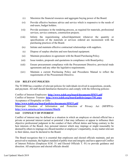- (v) Maximize the financial resources and aggregate buying power of the Board.
- (vi) Provide effective business advice and service which is responsive to the needs of end-users, budget holders.
- (vii) Provide assistance in the tendering process, as required for materials, professional services, service contracts, construction projects.
- (viii) Inform the requisitioning school/department whenever the quantity or specifications of the materials or services ordered are inconsistent with the purchasing practices of the Board.
- (ix) Initiate and maintain effective contractual relationships with suppliers.
- (x) Dispose of surplus obsolete and non-functional equipment.
- (xi) Maintain procedures in agreement with the Board Purchasing Policy.
- (xii) Issue tenders, proposals and quotations in compliance with Board policy.
- (xiii) Ensure procurement compliance with the Procurement Directive, provincial trade agreements and any other the legislative requirements.
- (xiv) Maintain a current Purchasing Policy and Procedures Manual to reflect the requirements of the Procurement Directive.

# <span id="page-12-0"></span>**13.0 RELEVANT POLICIES**

The TCDSB has a number of relevant policies for individuals involved in acquisitions, awards, and payment. All staff should familiarize themselves and comply with the following policies:

Conflict of Interest-Employees- **<http://www.tcdsb.org/board/documents/HM31.pdf>** Conflict of Interest- Trustees- **<http://www.tcdsb.org/board/policies/pages/T01.aspx>** Acceptance of Hospitality or Gifts-

**<http://www.tcdsb.org/board/policies/documents/HM33.pdf>**

Municipal Freedom of Information and Protection of Privacy Act (MFIPPA) **<http://www.ontario.ca/laws/statute/90m56>**

# <span id="page-12-1"></span>**14.0 CONFLICT OF INTEREST**

Conflict of interest may be defined as a situation in which an employee or elected official has a private or personal interest (actual or potential ) that may influence or appear to influence their objective professional judgment in the conduct of their official duties and being contrary to the best interests of the Board. Any personal interest which may impinge or might reasonably be deemed by others to impinge on a Board member or employee's impartiality, in any matter relevant to their duties, must be declared to the Board.

The Board recognizes that it is essential that employees and elected officials maintain, and are perceived to maintain, the highest standard of public trust and integrity and have approved Conflict of Interest Policies (Employee H.M. 31 and Elected Officials T. 01) to provide guidance and direction. All employees and elected officials should: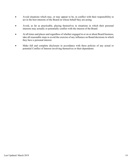- Avoid situations which may, or may appear to be, in conflict with their responsibility to act in the best interests of the Board on whose behalf they are acting.
- Avoid, as far as practicable, placing themselves in situations in which their personal interests may actually or potentially conflict with the interest of the Board.
- At all times and places and regardless of whether engaged in or on or about Board business, take all reasonable steps to avoid the exercise of any influence on Board decisions in which they have a personal interest.
- Make full and complete disclosure in accordance with these policies of any actual or potential Conflict of Interest involving themselves or their dependents.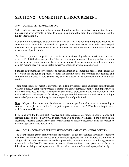# <span id="page-14-0"></span>**SECTION 2 – COMPETITIVE PROCUREMENT**

# <span id="page-14-1"></span>**15.0 COMPETITIVE PURCHASING**

"All goods and services are to be acquired through a publicly advertised competitive bidding process whenever possible in order to obtain maximum value from the expenditure of public funds" (Regulation 8).

Competitive Purchasing is acquisition of any kind of asset, whether tangible (goods, products, or construction) or intangible (services) in an open and transparent manner intended to ensure equal treatment without preference to all responsible vendors and to obtain maximum value from the expenditure of public funds.

The Board requires a competitive process in the acquisition of goods and services whose value exceeds \$5,000.00 whenever possible. This can be a simple process of obtaining verbal or written quotes for lower value requirements or for acquisitions of higher value or complexity, a more detailed method involving specifications, terms, conditions, evaluation and award.

Supplies, equipment and services must be acquired through a competitive process that ensures the best value for the funds expended to meet the specific needs and promote fair dealings and equitable relationship. A Sole Source may be used subject to the conditions outlined in a later section.

These practices are not meant to prevent or exclude individuals or companies from doing business with the Board. A competitive process is intended to ensure fairness, openness and impartiality in the Board's business dealings. A competitive process also protects the Board and individuals from undue criticism with respect to favoritism, bias, preferential treatment etc. and maintains a high standard of public trust and integrity in the expenditure of public funds.

Note: "Organizations must not discriminate or exercise preferential treatment in awarding a contract to a supplier as a result of a competitive procurement process" (Mandatory Requirement contract to a supplier as a result of a competitive procurement process" (Mandatory Requirement #14 Procurement Directive).

In keeping with the Procurement Directive and Trade Agreements, procurements for goods and services likely to exceed \$100,000 in total value will be publicly advertised and posted on an electronic tendering system. Any claim for an exemption must be documented and in accordance with the applicable trade agreements.

# <span id="page-14-2"></span>**16.0 COLLABORATIVE PURCHASING/GOVERNMENT STANDING OFFERS**

The Board encourages the participation in the purchases of goods or services through co-operative ventures with other school boards and government agencies and will exercise the options to 'piggyback" on other co-operative, tenders, proposals, service contract or standing agreements when it is in the Board's best interest to do so. Where the Board participates in collaborative initiatives involving a lead agency, the policies and procedures of the lead agency shall apply.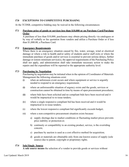# <span id="page-15-0"></span>**17.0 EXCEPTIONS TO COMPETITIVE PURCHASING**

At the TCDSB, competitive bidding may be waived in the following circumstances:

# **17.1 Purchase price of goods or services less than \$10,000 or on Purchase Card/Purchase Order**

A purchase of less than \$10,000, purchasers may obtain pricing directly via catalogues or by way of verbally or fax quotation from vendors and utilize a Purchase Order or if less than \$1,000.00, a Purchase Card.

#### **17.2 Emergency Requirements**

Where there is an emergency situation caused by fire, water, sewage, wind or electrical damage or where a risk to health and/or safety of students and/or staff exits or where the immediate purchase of goods and/or services is essential to prevent serious delays, further damage or restore minimum service(s), the approval requirements of the Purchasing Policy shall not apply, and administration shall take immediate necessary action to make the repairs and the expenditure will be reported to the appropriate authority level.

#### **17.3 Purchasing by Negotiation**

Purchasing by negotiation may be initiated when in the opinion of Coordinator of Materials Management the following situations exist:

- (i) when an unforeseen event occurs and where equipment or service is urgently needed to respond to an emergency requirement;
- (ii) where an unforeseeable situation of urgency exists and the goods, services or construction cannot be obtained in time by means of open procurement procedures;
- (iii) where bids have been solicited and no compliant bids have been received and it would be impractical to re-issue tenders;
- (iv) where a single responsive compliant bid has been received and it would be impractical to re-issue tenders;
- (v) where the lowest responsive compliant bid significantly exceeds budget;
- (vi) where a non-competitive procurement situation exists because:
	- a) supply shortage due to market conditions or fluctuating market prices prevents price stability or protection or;
	- b) continuity or compatibility to an existing product, service, is the overriding concern;
	- c) purchase by auction is used as a cost effective method for acquisition;
	- d) goods or materials are obtainable only from one known source of supply (sole source) due to patent, copyright or proprietary rights.

# **17.4 Sole/Single Source**

**A sole source means** the selection of a vendor to provide goods or services without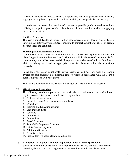utilizing a competitive process such as a quotation, tender or proposal due to patent, copyright or proprietary rights which limits availability to one particular vendor only.

**A single source means** the selection of a vendor to provide goods or services without utilizing a competitive process where there is more than one vendor capable of supplying the goods or services.

# **Limited Tendering**

The term Limited Tendering is used in the Trade Agreements in place of Sole or Single Sourcing. An entity may use Limited Tendering to contract a supplier of choice in certain circumstances and conditions.

# **Sole/Single Source Declaration Form**

Use of a sole/single source for an amount in excess of \$10,000 requires completion of a "Sole/Single Source Declaration Form". This form will list the reason(s) or rationale for not obtaining competitive quotes and shall require the authorization of both the Coordinator Materials Management and the appropriate Associate Director before the acquisition proceeds.

In the event the reason or rationale proves insufficient and does not meet the Board's criteria for sole sourcing, a competitive tender process in accordance with the Board's purchasing policies will be required.

This form is available from the Materials Management Department or its website.

# **17.5 Miscellaneous Exemptions**

The following list of those goods or services will also be considered exempt and will not require a competitive process or sole source request form:

- 1. Professional memberships
- 2. Health Expenses (e.g., pediculosis, ambulance)
- 3. Workshops
- 4. Training and Education Courses
- 5. Staff Development
- 6. Seminars
- 7. Conferences
- 8. Conventions
- 9. Travel Expenses
- 10. Refundable Employee Expenses
- 11. Utility Services payments
- 12. Arbitration Services
- 13. Property rentals
- 14. License fees (vehicles, elevators, radios, etc.)

# **17.6 Exemptions, Exceptions, and non-applications under Trade Agreements**

Where an exemption, exception, or non-application clause exists under the Procurement Directive, the CFTA or CETA agreements, the Board may apply this clause when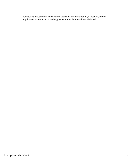conducting procurement however the assertion of an exemption, exception, or nonapplication clause under a trade agreement must be formally established.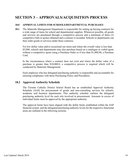# <span id="page-18-0"></span>**SECTION 3 – APPROVALS/ACQUISITION PROCESS**

#### <span id="page-18-1"></span>**18.0 APPROVAL LIMITS FOR SCHOOLS/DEPARTMENTAL PURCHASES**

**18.1** The Materials Management Department is responsible for setting up buying contracts for a wide range of items for school and departmental supplies. Whenever possible, all goods and services are purchased through a competitive process and a minimum of three (3) competitive bids or quotes obtained and a contract is awarded. Schools or departments can then order goods or services under these contracts.

For low dollar value and/or occasional use items and where the overall value is less than \$5,000, schools and departments may also purchase based on a catalogue or verbal quote without a competitive quote using a Purchase Order or if less than \$1,000.00, a Purchase Card.

In the circumstances where a contract does not exist and where the dollar value of a purchase is greater than \$10,000.0, a competitive process is required which will be conducted by Materials Management.

Each employee who has delegated purchasing authority is responsible and accountable for ensuring compliance with these Purchasing Policy and Procedures.

# **18.2 Approval Authority Schedule**

The Toronto Catholic District School Board has an established Approval Authority Schedule (AAS) for procurement of goods and non-consulting services for schools, academic and business departments. This authority schedule outlines the delegated purchasing authority level for each role involved in procurement. Amounts in excess of individual limits must be approved by the appropriate authority.

The approval limits have been aligned with the dollar limits established within the SAP financial system and the delegated purchasing authority levels for the respective functional areas are outlined in the following sections.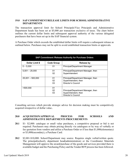#### <span id="page-19-0"></span>**19.0 SAP COMMITMENT/RELEASE LIMITS FOR SCHOOL/ADMINISTRATIVE DEPARTMENTS**

The transaction approval limit for School Principals/Vice Principals and Administrative Department heads has been set at \$5,000 per transaction exclusive of taxes. The chart below outlines the current dollar limits and subsequent approval authority of the various delegated purchasers that have been set up in the SAP financial system.

A Purchase Order which exceeds the established dollar limits will require a subsequent release as outlined below. Purchases may not be split to avoid established transaction limits or approvals.

|                        |                   | <b>SAP Commitment /Release Authority for Purchase Orders</b> |
|------------------------|-------------------|--------------------------------------------------------------|
| <b>Dollar Limit \$</b> | <b>Code Group</b> | Release by                                                   |
| $0 - 5.000$            | 01                | Principal/Department Manager                                 |
| $5,001 - 25,000$       | 01                | Principal/Department Manager, then                           |
|                        | 02                | Superintendent                                               |
| $25,001 - 500,000$     | 01                | Principal/Department Manager, then                           |
|                        | 02                | Superintendent, then                                         |
|                        | 03                | Director's Council                                           |
| >500,000               | 01                |                                                              |
|                        | 02                | Principal/Department Manager, then                           |
|                        | 03                | Superintendent, then<br>Director's Council                   |

Consulting services which provide strategic advice for decision making must be competitively acquired irrespective of dollar value..

# <span id="page-19-1"></span>**20.0 ACQUISITION/APPROVAL PROCESS FOR SCHOOLS AND ADMINISTRATIVE DEPARTMENTS PROCUREMENTS**

- **20.1** \$1- \$2,000: catalogue or small value purchases, a competitive proposal or bid is not required. Purchasers may obtain pricing directly via catalogues or by way of verbally or fax quotation from vendors and utilize a Purchase Order or if less than \$1,000(elementary) or \$3,000(secondary), a Purchase Card.
- **20.2** \$2,001-\$10,000: School/Department may source. Requires single verbal/written quote. The principal(school), department head(administration) or the Coordinator Materials Management will approve the award/purchase of the goods and services provided there is available budget and the Purchasing Policy and the Tender/RFP process has been followed.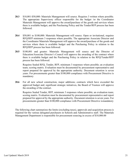- **20.3** \$10,001-\$50,000: Materials Management will source. Requires 3 written where possible. The appropriate Supervisory officer responsible for the budget /or the Coordinator Materials Management will approve the award/purchase of the goods and services where there is available budget, and the Purchasing Policy and the Tender/RFP process has been followed.
- **20.4** \$50,001 to \$100,000: Materials Management will source. Open or invitational, requires RFQ/RFP minimum 3 responses where possible. The appropriate Associate Director and the Coordinator Materials Management will approve the award/purchase of the goods and services where there is available budget and the Purchasing Policy in relation to the RFQ/RFP process has been followed.
- **20.5** \$100,001 and greater: Materials Management will source and the Director of Education/Associate Director's Council will approve the awarding of the contract where there is available budget and the Purchasing Policy in relation to the RFQ/Tender/RFP process has been followed.

Requires Sealed RFQ, Tender, RFP, minimum 3 responses where possible; an evaluation team; scoring matrix. Evaluation must be documented by procurement representative and report prepared for approval by the appropriate authority. Document retention is seven years. For procurements greater than \$100,000 compliance with Procurement Directive is mandatory

**20.6** For all new school construction, major additions; contracts which have exceeded the approved budget and; significant strategic initiatives, the Board of Trustees will approve the awarding of the contract.

Requires Sealed Tender, RFP, minimum 3 responses where possible; an evaluation team; scoring matrix. Evaluation must be documented by procurement representative and report prepared for approval by the appropriate authority. Document retention is seven years. For procurements greater than \$100,000 compliance with Procurement Directive ismandatory

The following chart summarizes the limits (excluding taxes), approvals and acquisition process is required for the various delegated purchasers in Schools and Administrative staff. The Materials Management Department is responsible for procurement sourcing in excess of \$10,000.00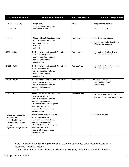| <b>Expenditure Amount</b>                                                                                                                  | <b>Procurement Method</b>                                                                                                                                                                                                                           | <b>Purchase Method</b> | <b>Approval Required by</b>                                                                              |
|--------------------------------------------------------------------------------------------------------------------------------------------|-----------------------------------------------------------------------------------------------------------------------------------------------------------------------------------------------------------------------------------------------------|------------------------|----------------------------------------------------------------------------------------------------------|
| $1 - 1,000$<br>Elementary<br>$1 - 3,000$<br>Secondary                                                                                      | - Single quote<br>verbal/written/catalogue price<br>non cumulative total                                                                                                                                                                            | P Card                 | $l$ . Principal or Administrative<br>Department Head                                                     |
| $1 - 5,000$                                                                                                                                | - Single quote by School/Department<br>- verbal/written/catalogue price<br>- non cumulative total<br>- e-mail, fax<br>- note to file                                                                                                                | <b>Purchase Order</b>  | Principal / Administrative<br>1.<br>2.<br>Department Head or Coordinator,<br><b>Materials Management</b> |
| $5,001 - 25,000$                                                                                                                           | RFQ written/fax/e-mail required - MM to issue<br>- 3 quotes where possible<br>- record of suppliers contacted<br>- record of prices quoted<br>- report required                                                                                     | Purchase Order         | Superintendent or Coordinator,<br>1.<br><b>Materials Management</b>                                      |
| 25,001 - 50,000                                                                                                                            | RFQ written/fax/e-mail required - MM to issue<br>- 3 quotes where possible<br>- record of suppliers contacted<br>- record of prices quoted<br>- report required                                                                                     | <b>Purchase Order</b>  | Superintendent and Coordinator,<br>1.<br><b>Materials Management</b>                                     |
| 50,001 - 100,000                                                                                                                           | RFQ written/fax/e-mail required - MM to issue<br>- 3 quotes where possible<br>- record of suppliers contacted<br>- record of prices quoted<br>- report required                                                                                     | Purchase Order         | 1. Associate Director and<br>Coordinator, Materials<br>Management                                        |
| >100,000.00                                                                                                                                | Formal Process: Sealed Tender, RFP<br>- 3 bids where possible<br>- record of suppliers contacted<br>- record of prices quoted<br>- Board Bid Form sealed response<br>- deposit in Tender Box<br>- date and time as prescribed<br>- report required  | Purchase Order         | Director of Education or Director's<br>1.<br>Council or Associate Director's Council                     |
| new school construction<br>major additions<br>contracts which have<br>exceeded the approved<br>budget<br>significant strategic initiatives | Formal written quotation required<br>- 3 quotes where possible<br>- record of suppliers contacted<br>- record of prices quoted<br>- Board Bid Form sealed response<br>- deposit in Tender Box<br>- date and time as prescribed<br>- report required |                        | <b>Board of Trustees</b><br>1.                                                                           |

Note 1. Open call Tender/RFP greater than \$100,000 in cumulative value must be posted on an electronic tendering website.

Note 2. Tender/RFP greater than \$100,000 may be issued by invitation to prequalified bidders.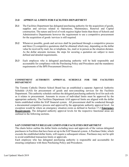#### <span id="page-22-0"></span>**21.0 APPROVAL LIMITS FOR FACILITIES DEPARTMENT**

- **21.1** The Facilities Department has delegated purchasing authority for the acquisition of goods, supplies and services related to Operations, Maintenance, Renewal and Capital construction. The nature and level of work requires higher limits than those of Schools and Administrative Departments however the requirement to use a competitive procurement for the acquisition of goods /services is still required.
- **21.2** Whenever possible, goods and services shall be purchased through a competitive process and three (3) competitive quotations shall be obtained which may, depending on the dollar value be received by mail, fax or telephone, fax, mail or in person as the situation dictates. As the dollar amounts increase, the steps for securing a quotation are subject to more defined and detailed requirements.
- **21.3** Each employee who is delegated purchasing authority will be held responsible and accountable for compliance with the Purchasing Policy and Procedures and the mandatory requirements of the BPS Procurement Directives.

#### **COMMITMENT AUTHORITY APPROVAL SCHEDULE FOR THE FACILITIES DEPARTMENT**

The Toronto Catholic District School Board has an established a separate Approval Authority Schedule (AAS) for procurement of goods and non-consulting services for the Facilities Department. This authority schedule outlines the delegated purchasing authority level for each role as it relates to procurement. Amounts in excess of individual limits must be approved by the appropriate authority. The Facilities Department AAS approval limits are aligned with the dollar limits established within the SAP financial system. All procurement shall be conducted through a documented competitive process and approved by the appropriate authority approval level. An exception would be where an emergency situation exists as defined in Section 17.2 **Emergency Requirements**. The delegated authority approval levels for the respective functional areas are outlined in the following sections.

#### <span id="page-22-1"></span>**SAP COMMITMENT/RELEASE LIMITS FOR FACILITIES DEPARTMENT**

The charts below outline the dollar limits excluding taxes and approvals of the various delegated purchasers in Facilities that have been set up in the SAP financial system. A Purchase Order, which exceeds the established dollar limits, will require a subsequent release. Purchases may not be split to avoid established transaction limits or approvals.

Each employee who has delegated purchasing authority is responsible and accountable for ensuring compliance with these Purchasing Policy and Procedures.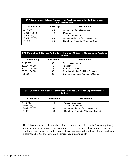|                 |                   | SAP Commitment / Release Authority for Purchase Orders for SQS Operations<br><b>Purchase Orders</b> |
|-----------------|-------------------|-----------------------------------------------------------------------------------------------------|
| Dollar Limit \$ | <b>Code Group</b> | <b>Description</b>                                                                                  |
| $0 - 10.000$    | 05                | <b>Supervisor of Quality Services</b>                                                               |
| 10,001-15,000   | 10                | Manager                                                                                             |
| 15,001 - 25,000 | 11                | Senior Coordinator                                                                                  |
| 25,001 - 50,000 | 06                | <b>Superintendent of Facilities Services</b>                                                        |
| >50.000         | 03                | Director of Education/Director's Council                                                            |

|                 |                   | SAP Commitment /Release Authority for Purchase Orders for Maintenance Purchase<br><b>Orders</b> |
|-----------------|-------------------|-------------------------------------------------------------------------------------------------|
| Dollar Limit \$ | <b>Code Group</b> | <b>Description</b>                                                                              |
| $0 - 10,000$    | 07                | <b>Facilities Supervisor</b>                                                                    |
| 10,001 - 15,000 | 10                | Manager                                                                                         |
| 15,001 - 25,000 | 11                | <b>Senior Coordinator</b>                                                                       |
| 25,001 - 50,000 | 06                | <b>Superintendent of Facilities Services</b>                                                    |
| >50,000         | 03                | Director of Education/Director's Council                                                        |

|                   |                   | SAP Commitment / Release Authority for Purchase Orders for Capital Purchase<br><b>Orders</b> |
|-------------------|-------------------|----------------------------------------------------------------------------------------------|
| Dollar Limit \$   | <b>Code Group</b> | <b>Description</b>                                                                           |
| $0 - 10,000$      | 12                | <b>Capital Supervisor</b>                                                                    |
| $10,001 - 25,000$ | 11                | <b>Senior Coordinator</b>                                                                    |
| 25,001 - 50,000   | 06                | <b>Superintendent of Facilities Services</b>                                                 |
| >50.000           | 03                | Director of Education/Director's Council                                                     |

The following section details the dollar thresholds and the limits (excluding taxes), approvals and acquisition process is required for the various delegated purchasers in the Facilities Department. Generally a competitive process is to be followed for all purchases greater than \$5,000 except where an emergency situation exists.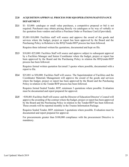# <span id="page-24-0"></span>**22.0 ACQUISITION/APPROVAL PROCESS FOR SQSOPERATIONS/MAINTENANCE DEPARTMENT**

- **22.1** \$1- \$5,000: catalogue or small value purchases, a competitive proposal or bid is not required. Purchasers may obtain pricing directly via catalogues or by way of verbally or fax quotation from vendors and utilize a Purchase Order or Purchase Card (if provided).
- **22.2** \$5,001-\$10,000: Facilities staff will source and approve the award of the goods and services where the budget, project or report has been approved by the Board and the Purchasing Policy in Relation to the RFQ/Tender/RFP process has been followed.

<span id="page-24-1"></span>Requires three informal written/fax quotations, documented and kept on file.

**22.3** \$10,001-\$25,000: Facilities Staff will source and approve subject to subsequent approval by a Facilities Manager and Senior Coordinator where the budget, project or report has been approved by the Board and the Purchasing Policy in relation the RFQ/ender/RFP process has been followed.

Requires formal written quotation fax/email 3 quotes where possible, documented with a report to file.

**22.4** \$25,001 to \$50,000: Facilities Staff will source. The Superintendent of Facilities and the Coordinator Materials Management will approve the award of the goods and services where the budget, project or report has been approved by the Board and the Purchasing Policy in relation to the Tender/RFP process has been followed.

Requires formal Sealed Tender, RFP, minimum 3 quotations where possible. Evaluation must be documented and report prepared for approval.

**22.5** >\$50,001:Facilities Staff will source and the Director of Education/Director's Council will approve the awarding of the contract where the budget, project or report has been approved by the Board and the Purchasing Policy in relation to the Tender/RFP has been followed. These awards will be reported monthly in the Trustee Information Package.

Requires Sealed Tender, RFP, minimum 3 quotations where possible. Evaluation must be documented and report prepared for approval.

For procurements greater than \$100,000 compliance with the procurement Directive is mandatory.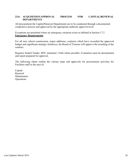# <span id="page-25-0"></span>**23.0 ACQUISITION/APPROVAL PROCESS FOR CAPITAL/RENEWAL DEPARTMENTS**

All procurement the Capital/Renewal Departments are to be conducted through a documented competitive process and approved by the appropriate authority approval level.

Exceptions are permitted where an emergency situation exists as defined in Section 17.2 **Emergency Requirements**.

For all new school construction, major additions, contracts which have exceeded the approved budget and significant strategic initiatives, the Board of Trustees will approve the awarding of the contract.

Requires Sealed Tender, RFP, minimum 3 bids where possible. Evaluation must be documented and report prepared for approval.

The following charts outline the various steps and approvals for procurement activities for Facilities staff in the area of:

Capital Renewal Maintenance **Operations**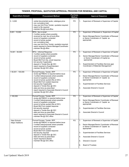<span id="page-26-0"></span>

|                                       | TENDER, PROPOSAL, QUOTATION APPROVAL PROCESS FOR RENEWAL AND CAPITAL                                                                                                                                                                                                                                                                                                                                                           |                                  |                                                                                                                                                                                                                                                                                                                     |
|---------------------------------------|--------------------------------------------------------------------------------------------------------------------------------------------------------------------------------------------------------------------------------------------------------------------------------------------------------------------------------------------------------------------------------------------------------------------------------|----------------------------------|---------------------------------------------------------------------------------------------------------------------------------------------------------------------------------------------------------------------------------------------------------------------------------------------------------------------|
| <b>Expenditure Amount</b>             | <b>Procurement Method</b>                                                                                                                                                                                                                                                                                                                                                                                                      | <b>Purchase</b><br><b>Method</b> | <b>Approval Sequence</b>                                                                                                                                                                                                                                                                                            |
| $0 - 5,000$                           | - verbal documented quote, catalogue price<br>- non cumulative total<br>- may use Unit Price Tender, quotation required<br>- report to file required<br>- maintain file @ local office                                                                                                                                                                                                                                         | <b>PO</b>                        | Supervisor of Renewal or Supervisor of Capital<br>1.                                                                                                                                                                                                                                                                |
| $5,001 - 10,000$                      | RFQ - fax or email<br>- 3 written quotes where possible<br>- received by mail, fax at local office<br>- record of suppliers contacted<br>- record of prices quoted<br>- non cumulative total<br>- may use Unit Price Tender, quotation required<br>- report required to Senior Manager/Coordinator<br>- maintain file @ office                                                                                                 | P <sub>O</sub>                   | Supervisor of Renewal or; Supervisor of Capital<br>1.<br>Senior Manager/Senior Coordinator of Renewal<br>2.<br>or Senior Coordinator of Capital as<br>appropriate                                                                                                                                                   |
| $10,001 - 50,000$                     | RFQ - Informal Response<br>- 3 written quotes where possible<br>- record of suppliers contacted<br>- record of prices quoted<br>- Board Bid Form fax, email response<br>- bid security if applicable<br>deposit in Tender Box @ CEC<br>- report required to Superintendent<br>- maintain file @ CEC office                                                                                                                     | P <sub>O</sub>                   | Supervisor of Renewal or Supervisor of Capital<br>1.<br>Senior Manager/Senior Coordinator of Renewal<br>2.<br>or Senior Coordinator of Capital as<br>appropriate<br>Superintendent of Facilities Services and<br>3.<br>Coordinator of Materials Management                                                          |
| $> 50,001 - 100,000$                  | Formal Process: Tender, RFP<br>- review @ PMEAC is required before issue<br>- 3 written bids/proposals where possible<br>- record of suppliers contacted<br>- record of prices quoted (file at CEC)<br>- Board Bid Form sealed response<br>- bid security if applicable<br>- deposit in Tender Box @ CEC<br>- date and time as prescribed<br>- report required to Associate Director's Council<br>- maintain file @ CEC office | $\overline{PQ}$                  | Supervisor of Renewal or Supervisor of Capital<br>1.<br>Senior Manager/Senior Coordinator of Renewal<br>2.<br>or Senior Coordinator of Capital as<br>appropriate<br>Superintendent of Facilities Services<br>3.<br>Associate Director's Council<br>4.                                                               |
| >100,000                              | Formal Process: Tender, RFP<br>- review @ PMEAC is required before issue<br>- 3 written bids/proposals where possible<br>- record of suppliers contacted<br>- record of prices quoted (file at CEC)<br>- Board Bid Form sealed response<br>- bid security required<br>- deposit in Tender Box @ CEC<br>- date and time as prescribed<br>- report required to Associate Director's Council<br>- maintain file @ CEC office      | P <sub>O</sub>                   | Supervisor of Renewal or Supervisor of Capital<br>1.<br>Senior Manager/Senior Coordinator of Renewal<br>2.<br>or Senior Coordinator of Capital as<br>appropriate<br>3.<br>Superintendent of Facilities Services<br>Associate Director's Council<br>4.                                                               |
| New Schools<br><b>Major Additions</b> | Formal Process: Tender, RFP<br>- review @ PMEAC is required before issue<br>- 3 written bids/proposals where possible<br>- record of suppliers contacted<br>- record of prices quoted<br>- Board Bid Form sealed response<br>- bid security required<br>- deposit in Tender Box @ CEC<br>- date and time as prescribed<br>- report required to Board<br>- maintain file @ CEC office                                           | PO.                              | Supervisor of Renewal or Supervisor of Capital<br>1.<br>Senior Manager/Senior Coordinator of Renewal<br>2.<br>or Senior Coordinator of Capital as<br>appropriate<br>3.<br>Superintendent of Facilities Services<br>Associate Director's Council<br>4.<br>5.<br>Director's Council<br><b>Board of Trustees</b><br>6. |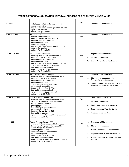|                    | TENDER, PROPOSAL, QUOTATION APPROVAL PROCESS FOR FACILITIES MAINTENANCE                                                                                                                                                                                                                                                                                                                      |    |                                                                                                                                                                                                                           |
|--------------------|----------------------------------------------------------------------------------------------------------------------------------------------------------------------------------------------------------------------------------------------------------------------------------------------------------------------------------------------------------------------------------------------|----|---------------------------------------------------------------------------------------------------------------------------------------------------------------------------------------------------------------------------|
| $0 - 5,000$        | verbal documented quote, catalogue price<br>non cumulative total<br>may use Unit Price Tender, quotation required<br>report to file required<br>maintain file @ local office                                                                                                                                                                                                                 | PO | 1.<br>Supervisor of Maintenance                                                                                                                                                                                           |
| $5,001 - 10,000$   | RFQ - Informal<br>3 quotes where possible<br>received by mail, fax at local office<br>record of suppliers contacted<br>record of prices quoted<br>non cumulative total<br>may use Unit Price Tender, quotation required<br>report to file required<br>maintain file @ local office                                                                                                           | PO | Supervisor of Maintenance<br>1.                                                                                                                                                                                           |
| $10,001 - 25,000$  | RFQ - Informal Response<br>review @ PMEAC is required before issue<br>3 written quotes where possible<br>record of suppliers contacted<br>record of prices quoted<br>may use Unit Price Tender, quotation required<br>Board Bid Form fax, email response<br>date and time as prescribed<br>report required to Senior Coordinator<br>maintain file @ local office                             | PO | <b>Supervisor of Maintenance</b><br>1.<br>2.<br>Maintenance Manager<br>3.<br>Senior Coordinator of Maintenance                                                                                                            |
| 25,001 - 50,000    | RFQ - Formal / Sealed Response<br>review @ PMEAC is required before issue<br>3 written quotes where possible<br>record of suppliers contacted<br>record of prices quoted<br>Board Bid Form sealed response<br>bid security if applicable<br>deposit in Tender Box @ CEC<br>date and time as prescribed<br>report required to Superintendent<br>maintain file @ CEC office                    | PO | Supervisor of Maintenance<br>1.<br>2.<br>Maintenance Manager/Senior<br>Coordinator of Maintenance<br>3.<br>Superintendent of Facilities Services and<br>Coordinator of Materials Management                               |
| $50,001 - 100,000$ | Formal Process: Tender, RFP<br>review @ PMEAC is required before issue<br>3 written bids/proposals where possible<br>record of suppliers contacted<br>record of prices quoted<br>Board Bid Form sealed response<br>bid security if applicable<br>deposit in Tender Box @ CEC<br>date and time as prescribed<br>report required to Associate Director's Council<br>maintain file @ CEC office | PO | Supervisor of Maintenance<br>1.<br>Maintenance Manager<br>2.<br>Senior Coordinator of Maintenance<br>3.<br>Superintendent of Facilities Services<br>4.<br>5.<br>Associate Director's Council                              |
| >100,000           | Formal Process: Tender, RFP<br>review @ PMEAC is required before issue<br>3 written bids/proposals where possible<br>record of suppliers contacted<br>record of prices quoted<br>Board Bid Form sealed response<br>bid security required<br>deposit in Tender Box @ CEC<br>date and time as prescribed<br>report required to Associate Director's Council<br>maintain file @ CEC office      | PO | <b>Supervisor of Maintenance</b><br>1.<br>2.<br>Maintenance Manager<br>3.<br>Senior Coordinator of Maintenance<br>Superintendent of Facilities Services<br>4.<br>5.<br>Director's Council/Associate Director's<br>Council |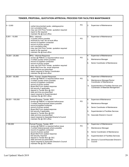|                   | TENDER, PROPOSAL, QUOTATION APPROVAL PROCESS FOR FACILITIES MAINTENANCE                                                                                                                                                                                                                                                                                                                      |                |                                                                                                                                                                                                                         |
|-------------------|----------------------------------------------------------------------------------------------------------------------------------------------------------------------------------------------------------------------------------------------------------------------------------------------------------------------------------------------------------------------------------------------|----------------|-------------------------------------------------------------------------------------------------------------------------------------------------------------------------------------------------------------------------|
| $0 - 5,000$       | verbal documented quote, catalogue price<br>non cumulative total<br>may use Unit Price Tender, quotation required<br>report to file required<br>maintain file @ local office                                                                                                                                                                                                                 | P <sub>O</sub> | 2.<br>Supervisor of Maintenance                                                                                                                                                                                         |
| $5,001 - 10,000$  | RFQ - Informal<br>3 quotes where possible<br>received by mail, fax at local office<br>record of suppliers contacted<br>record of prices quoted<br>non cumulative total<br>may use Unit Price Tender, quotation required<br>report to file required<br>maintain file @ local office                                                                                                           | P <sub>O</sub> | <b>Supervisor of Maintenance</b><br>2.                                                                                                                                                                                  |
| $10,001 - 25,000$ | RFQ - Informal Response<br>review @ PMEAC is required before issue<br>3 written quotes where possible<br>record of suppliers contacted<br>record of prices quoted<br>may use Unit Price Tender, quotation required<br>Board Bid Form fax, email response<br>date and time as prescribed<br>report required to Senior Coordinator<br>maintain file @ local office                             | PO             | Supervisor of Maintenance<br>4.<br>5.<br>Maintenance Manager<br>6.<br>Senior Coordinator of Maintenance                                                                                                                 |
| 25,001 - 50,000   | RFQ - Formal / Sealed Response<br>review @ PMEAC is required before issue<br>3 written quotes where possible<br>record of suppliers contacted<br>record of prices quoted<br>Board Bid Form sealed response<br>bid security if applicable<br>deposit in Tender Box @ CEC<br>date and time as prescribed<br>report required to Superintendent<br>maintain file @ CEC office                    | PO             | Supervisor of Maintenance<br>4.<br>5.<br>Maintenance Manager/Senior<br>Coordinator of Maintenance<br>6.<br>Superintendent of Facilities Services and<br>Coordinator of Materials Management                             |
| 50,001 - 100,000  | Formal Process: Tender, RFP<br>review @ PMEAC is required before issue<br>3 written bids/proposals where possible<br>record of suppliers contacted<br>record of prices quoted<br>Board Bid Form sealed response<br>bid security if applicable<br>deposit in Tender Box @ CEC<br>date and time as prescribed<br>report required to Associate Director's Council<br>maintain file @ CEC office | PO             | Supervisor of Maintenance<br>6.<br>7.<br>Maintenance Manager<br>Senior Coordinator of Maintenance<br>8.<br>9.<br>Superintendent of Facilities Services<br>10. Associate Director's Council                              |
| 100,000           | Formal Process: Tender, RFP<br>review @ PMEAC is required before issue<br>3 written bids/proposals where possible<br>record of suppliers contacted<br>record of prices quoted<br>Board Bid Form sealed response<br>bid security required<br>deposit in Tender Box @ CEC<br>date and time as prescribed<br>report required to Associate Director's Council<br>maintain file @ CEC office      | P <sub>O</sub> | <b>Supervisor of Maintenance</b><br>6.<br>7.<br>Maintenance Manager<br>8.<br>Senior Coordinator of Maintenance<br>9.<br>Superintendent of Facilities Services<br>10. Director's Council/Associate Director's<br>Council |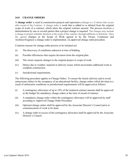#### **24.0 CHANGE ORDERS**

A **change order** is used in construction projects and represents a change to a Contract that occurs after award of the Contract. A change order is work that is added to or deleted from the original scope of work of a contract, which alters the original contract amount. The process involves a determination by one or several parties that a project change is required. The changes may include a change to project schedule duration or the scope of the contract, through additions or deletions. Once the agreed changes in the Scope of Work agreed to by the Owner, Contractor and Architect/Engineer a change order is implemented, via approved change order procedure.

Common reasons for change order process to be initiated are:

- (i) The discovery of conditions unknown at time of bidding.
- (ii) Possible efficiencies that require deviation from the original plan.
- (iii) The owner requests changes to the original project or scope of work.
- (iv) Delays due to weather, material or delivery issues which necessitates additional work to complete construction.
- (v) Jurisdictional requirements.

The following procedure applies to Change Orders. To ensure the timely delivery and to avoid unnecessary delays in the occupancy of an educational facility, change orders which develop as a result of unforeseen conditions or jurisdictional requirements will be approved as follows:

- (i) A contingency allowance of up to 10% of the tendered contract amount shall be approved as the budget for mandatory change orders at the time of award of contract.
- (ii) A mandatory change order within the contingency allowance will be approved by staff according to Approved Change Order Procedure.
- (iii) Optional change orders shall be approved by the Associate Director's Council prior to commencement of work to be done.
- (iv) A change order in excess of the contingency allowance shall be approved by the Associate Director's Council.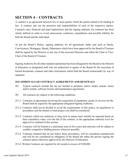# <span id="page-30-0"></span>**SECTION 4 – CONTRACTS**

A contract is an agreement between two or more parties which the parties intend to be binding at law. A contract sets out the promises and responsibilities of each of the respective parties. Contracts carry financial and legal implications and the signing authority for contracts has been clearly defined in order to avoid unnecessary confusion, expenditures and possible liability for both the Board and the individual.

As per the Board's Bylaw, signing authority for all agreements under seal such as Deeds, Conveyances, Mortgages, Bonds, Debentures which have been approved by the Board of Trustees shall be signed by the Director or any one of the associate Directors and either the Chair or Vice-Chair of the Board of Trustees.

Signing Authority for all other standard operational has been delegated by the Board to the Director of Education or designated staff who are authorized as agents of the Board for the execution of formal documents, contacts and other instruments which bind the Board contractually by way of signature.

# <span id="page-30-1"></span>**25.0 APPROVALS OF CONTRACT AGREEMENTS AND RENEWALS**

- 25.2 Typical contracts include but are not limited to purchase orders, tender awards, leases and/or rentals, software licence and maintenance agreements.
- 25.3 All contracts are subject to the following conditions:
- 25.3.1 Contracts or agreements involving the acquisition of equipment, goods or services for the Board shall be signed by the appropriate delegated Signing Authority.
- 25.3.2 Contracts shall not be divided to avoid the requirements of this policy, its regulations or procedures and the annual or total project cost shall be considered.
- 25.3.3 Contracts which are multiyear or long term in nature must initially be reported based on their cumulative value, over the life of the contract, to the appropriate authority level for approval as outlined in this section.
- 25.3.4 Contracts will be limited to a maximum term of five years and renewals will be subject to a public competitive bidding process whenever possible.
- 25.3.5 Contracts initiated that do not follow these procedures, will be considered unauthorized and will be not considered an obligation of the Board but rather the person signing the contract unless otherwise approved by the Director of Education.
- 25.3.6 Written Contracts are required for all awards in excess of \$100,000.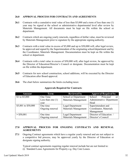#### **26.0 APPROVAL PROCESS FOR CONTRACTS AND AGREEMENTS**

- 26.1 Contracts with a cumulative total value of less than \$5,000 and a term of less than one (1) year may be signed at the school or administrative departmental level after review by Materials Management. All documents must be kept on file within the school or department.
- **26.2** Contracts which are ongoing yearly renewals, regardless of dollar value, must be reviewed by Materials Management prior to signature by the appropriate signing authority.
- **26.3** Contracts with a total value in excess of \$5,000 and up to \$50,000 will, after legal review, be approved and signed by the Superintendent of the originating school/department and by the Coordinator, Materials Management. Documentation must be kept on file within the school or department.
- **26.4** Contracts with a total value in excess of \$50,000 will, after legal review, be approved by the Director of Education/Director's Council or designate. Documentation must be kept on file within the department.
- **26.5** Contracts for new school construction, school additions, will be executed by the Director of Education after Board approval.
- **26.6** The chart below summarizes the limits excluding taxes:

| <b>Amount</b>       | <b>Term</b>         | <b>Reviewed by</b>          | <b>Approval Required by</b> |
|---------------------|---------------------|-----------------------------|-----------------------------|
| \$1 to $$5,000$     | One Time            | <b>School or Department</b> | Principal<br>School<br>or   |
|                     | Less than one $(1)$ | Materials Management        | Administrative Department   |
|                     | vear                |                             | Head                        |
| \$5,001 to \$50,000 | One time            | Legal Department            | Superintendent and          |
|                     | Ongoing renewal     | Materials Management        | Coordinator, Materials      |
|                     |                     |                             | Management                  |
| $>$ \$50,001        | One time            | Legal Department            | Director of Education       |
|                     | Ongoing renewal     | <b>Materials Management</b> | Director's Council          |

# **Approvals Required for Contracts**:

# <span id="page-31-0"></span>**27.0 APPROVAL PROCESS FOR ONGOING CONTRACTS AND RENEWAL AGREEMENTS**

**27.1** Ongoing Contract agreements which have a regular yearly renewal and are not subject to a competitive bid process, may be approved yearly by the Director of Education or designate signing authority.

Typical contract agreements requiring regular renewal include but are not limited to: (i) Standard Lease Agreements for Property e.g. Day Care Leases.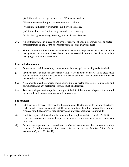(ii) Software Licence Agreements e.g. SAP financial system.

(iii)Maintenance and Support Agreements e.g. Trillium.

(iv)Equipment Leases Agreements - e.g. Service Vehicles.

(v) Utilities Purchase Contracts e.g. Natural Gas, Electricity.

(vi)Service Agreements e.g. Security, Waste Disposal Services.

- **27.2** All contract awards in excess of \$50,000 for renewal of ongoing contracts will be posted for information on the Board of Trustees portal site on a quarterly basis.
- **27.3** The Procurement Directive has established a mandatory requirement with respect to the management of contracts. Listed below are the essential points to be observed when managing a contractual agreement.

#### **Contract Management**

- (i) Procurements and the resulting contracts must be managed responsibly and effectively.
- (ii) Payments must be made in accordance with provisions of the contract. All invoices must contain detailed information sufficient to warrant payment. Any overpayments must be recovered in a timely manner.
- (iii) Assignments must be properly documented. Supplier performance must be managed and documented, and any performance issues must be addressed.
- (iv) To manage disputes with suppliers throughout the life of the contract, Organizations should include a dispute resolution process in their contracts.

#### **For services:**

- (i) Establish clear terms of reference for the assignment. The terms should include objectives, background, scope, constraints, staff responsibilities, tangible deliverables, timing, progress reporting, approval requirements, and knowledge transfer requirements.
- (ii) Establish expense claim and reimbursement rules compliant with the Broader Public Sector Expenses Directive and ensure all expenses are claimed and reimbursed in accordance with these rules.
- (iii) Ensure that expenses are claimed and reimbursed only where the contract explicitly provides for reimbursement of expenses. As set out in the *Broader Public Sector Accountability Act, 2010* (s.10).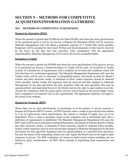# <span id="page-33-1"></span><span id="page-33-0"></span>**SECTION 5 – METHODS FOR COMPETITIVE ACQUISITION/INFORMATION GATHERING**

# <span id="page-33-2"></span>**28.0 METHODS OF COMPETITIVE ACQUISITIONS**

#### **Request for Quotation (RFQ)**

Where the amount is greater than \$5,000 but less than \$50,000, and where the exact specifications of the purchased good or service are known, a Request for Quotation (RFQ) will be issued by Materials Management who will obtain a minimum response of 3 written bids where possible. Responses will be accepted by fax/e-mail. Written and faxed proposals or bids must be received by the buyer by the date and time specified. After consultation with the appropriate Superintendent, Materials Management will award to the lowest acceptable bidder.

#### **Invitation to Tender**

Where the amount is greater the \$50,000 and where the exact specifications of the good or service to be purchased are known, a formal Invitation to Tender will be used. An Invitation to Tender consists of a detailed set of requirements with a complete set of terms and conditions which will form the basis of a contractual agreement. The Materials Management Department will issue the Tender which will be sent to interested or prequalified parties, advertised on both the Board's website and other electronic media. A minimum of three vendor responses should be obtained where possible. Sealed vendor bid responses must be received and date stamped in Materials Management by the date and before the time specified. After the time specified, bids may be opened publicly and read aloud however, the Board reserves the right to open tenders in private. Awards for competitive bids for goods and/or services will be based on the lowest bidder whose bid is compliant in all material ways to the requirements. The appropriate authority will approve the award of the contract.

#### **Request for Proposal (RFP)**

Where there are no clear specifications or uncertainty as to the product or service required, a Request for Proposal (RFP) is issued. An RFP typically seeks a vendor to provide the best solution to a set of requirements where specifications, the manner or method of supply have yet to be determined. Price is often a secondary factor in the evaluation and is determined only after a definition of requirements is established. The Materials Management Department will issue the RFP which will be sent to interested or prequalified parties, advertised on both the Board's website and other electronic media. A minimum of three responses should be obtained where possible. Sealed vendor responses must be received and date stamped in Materials Management by the date and before the time specified. Responses may be opened publicly at a specified time and place, but only the names of the responding vendors are read. Again, the Board reserves the right to open responses in private. The RFP evaluations are based on stated award criteria including, but not limited to, price considerations. An RFP allows latitude in negotiating final requirements and pricing.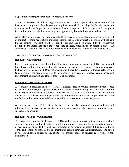#### **Negotiations during the Request for Proposal Process**

The Board reserves the right to negotiate any aspect of any proposal with one or more of the Proponents at any time. Negotiations with any Proponent shall not oblige the Board to enter into a contract with any Proponent or be construed as an acceptance of the proposal. All changes to the resulting contract shall be in writing, and approved by both the Proponent and the Board.

After selection of a successful Proponent, the Board may elect to negotiate specifics prior to award of contract. If these negotiations are not successful, the Board may elect to negotiate with the next highest scoring Proponent. Further, once the contract has been awarded to the Successful Proponent, the Board has the right to negotiate changes, amendments or modifications to the submission, without offering the other Proponents the opportunity to amend their submissions.

# <span id="page-34-0"></span>**29.0 METHODS FOR INFORMATION GATHERING**

# **Request for Information**

Used to gather product or supplier information for a contemplated procurement. Used as a method for gathering information and making decisions on the shape of a proposed procurement activity that has not yet been defined. Does not create nor is it intended to create a contractual relationship. Once complete, the organization should have enough information to proceed with a subsequent procurement action such as a tender, proposal or quotation.

#### **Request for Expression of Interest**

A Request for Expression of Interest (RFEI) is typically used to provide information with respect to the level of interest, the capacity or capabilities of the general marketplace to provide a solution to an organizational need or concept which has not yet been fully defined. It can provide an opportunity to review different opportunities, technologies and solutions to support a business case for further action and can help define a method for a subsequent competitive process.

A response to RFI or RFEI must not be used to pre-qualify a potential supplier and must not influence the chances of the participating suppliers from becoming the successful proponent in any subsequent opportunity.

#### **Request for Supplier Qualification**

The Request for Supplier Qualification (RFSQ) enables Organizations to gather information about supplier capabilities and qualifications in order to pre-qualify suppliers for an immediate product or service need or to identify qualified candidates in advance of expected future competitions. Terms and conditions of the RFSQ document must contain language that disclaims any obligation of the Organization to call on any supplier to provide goods or services as a result of prequalification.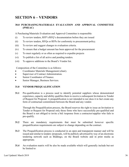# <span id="page-35-0"></span>**SECTION 6 – VENDORS**

# <span id="page-35-1"></span>**30.0 PURCHASING/MATERIALS EVALUATION AND APPROVAL COMMITTEE (PMEAC)**

A Purchasing/Materials Evaluation and Approval Committee is responsible:

- (i) To review tenders, RFP's/RFQ's documentation before they are issued
- (ii) To review tenders, RFQs or RFPs for conformity to procurement policy.
- (iii) To review and suggest changes to evaluation criteria.
- (iv) To ensure that a budget amount has been approved for the procurement
- (v) To meet regularly or as often as required to expedite projects
- (vi) To publish a list of all active and pending tenders.
- (vii) To approve additions to the Board's Vendor list.

Composition of the Committee is as follows:

- Coordinator Materials Management (chair).
- Supervisor of Contract Administration.
- Senior Coordinator of Finance.
- Senior Manager, Business Services.

#### <span id="page-35-2"></span>**31.0 VENDOR PREQUALIFICATION**

**31.1** Pre-qualification is a process used to identify potential suppliers whose demonstrated experience, capacity and ability qualifies them to receive a subsequent Invitation to Tender of Request for Proposal. A prequalification is not intended to nor does it in fact create any form of contractual commitment between the Board and any vendor.

Through the Prequalification process, the Board reserves the right to issue an Invitation to Tender or Request for Proposal only those firms who have successfully pre-qualified and the Board is not obliged to invite a bid /response from a contractor/supplier who fails to pre-qualify.

- **31.2** There are mandatory requirements that must be submitted however specific prequalification requirements are subject to change depending on the contract.
- **31.3** The Prequalification process is conducted in an open and transparent manner and will be issued and similar to tenders /proposals, will be publicly advertised by way of an electronic tendering network such as Biddingo, on the Board website and in print media as appropriate.
- **31.4** An evaluation matrix will be also be made available which will generally include but not be limited to: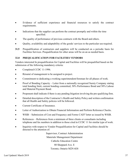- Evidence of sufficient experience and financial resources to satisfy the contract requirements.
- Indications that the supplier can perform the contract promptly and within the time specified.
- The quality of performance of previous contracts with the Board and others.
- Quality, availability and adaptability of the goods/ services to the particular use required.
- **31.5** Prequalification of contractors and suppliers will be conducted on a periodic basis for Facilities Services. Prequalification for other areas will be on an as needed basis.

# <span id="page-36-0"></span>**32.0 PREQUALIFICATION FOR FACILITIES VENDORS**

Vendors interested In prequalification for Capital and Facilities will be prequalified based on the submission of the following mandatory criteria:

- Completed CCDC 11-1996.
- Résumé of management to be assigned to project.
- Commitment to dedicating a working superintendent/foreman for all phases of work.
- Proof of Bonding Capacity Letter from a nationally recognized Surety Company stating total bonding limit, current bonding committed; 50% Performance Bond and 50% Labour and Material Payment Bond.
- Proponent shall indicate if there is any pending litigation involving the pre-qualifying firm.
- Detailed description of the Contractor's Health and Safety Policy and written confirmation that all Health and Safety policies will be followed.
- Current Certificate of Insurance.
- Letter of Authorization to Obtain Financial Information and Perform Reference Checks.
- WSIB Submission of Cost and Frequency and Forms CAD7 letter as issued by WSIB.
- References References from a minimum of three clients or consultants including telephone and fax numbers in addition to those cited in CCDC 11 for similar type of work.
- Inquiries with respect to Vendor Prequalification for Capital and Facilities should be directed to the attention of:

Supervisor, Contract Administration Materials Management Department Catholic Education Centre 80 Sheppard Ave. E Toronto, Ontario M2N 6E8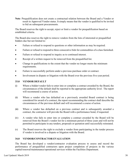**Note**: Prequalification does not create a contractual relation between the Board and a Vendor or result in Approved Vendor status. It simply means that the vendor is qualified to be invited to bid on subsequent procurements.

The Board reserves the right to accept, reject or limit a vendor for prequalification based on established criteria.

The Board also reserves the right to remove vendors from the lists of interested or prequalified bidders due but not limited to:

- Failure or refusal to respond to questions or other information as may be required.
- Failure or refusal to respond to three consecutive bids for commodities of a class furnished.
- Failure or refusal to respond to inquiry as to continued interest.
- Receipt of a written request to be removed from the prequalified list.
- Change in qualifications to the extent that the vendor no longer meets the minimum requirements.
- Failure to successfully perform under a previous purchase order or contract.
- Involvement in dispute or litigation with the Board over the previous five-year period.

#### <span id="page-37-0"></span>**33.0 VENDOR DEFAULT**

- (i) Where a bidder/vendor fails to enter into or complete a contract awarded by the Board, the circumstances of the default shall be reported to the appropriate authority level. The report will recommend a course of action.
- (ii) Where a vendor who has defaulted on a previously awarded Board contract is being considered for award of a contract, the report recommending the contract shall describe the circumstances of the previous default and will recommend a course of action.
- (iii) Where a vendor has defaulted on a previous contract and is subsequently awarded a contract, the contractor will provide the Board with a performance bond, if requested.
- (iv) A vendor who fails to enter into or complete a contract awarded by the Board will be removed from the Board's vendor list for a minimum period of three years and will not be permitted to participate in any tenders, proposals or quotation until successfully reinstated.
- (v) The Board reserves the right to exclude a vendor from participating in the tender process if vendor is involved in a dispute or litigation with the Board.

#### <span id="page-37-1"></span>**34.0 VENDOR/CONTRACTOR EVALUATION**

The Board has developed a vendor/contractor evaluation process to assess and record the performance of prequalified contractors upon project completion of projects in the various capital/renewal/maintenance/operational services within the Facilities Department.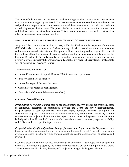The intent of this process is to develop and maintain a high standard of service and performance from contractors engaged by the Board. The performance evaluation would be undertaken by the assigned project supervisor at contract completion and the evaluation must be positive to maintain a vendor's pre-qualification status. The process is also intended to be open to contractor discussion and feedback with respect to the evaluation. This vendor evaluation process will be extended to other business departments where possible.

# <span id="page-38-0"></span>**35.0 FACILITY EVALUATIONS MANAGEMENT COMMITTEE (FEMC)**

As part of the contractor evaluation process, a Facility Evaluations Management Committee (FEMC) has also been be implemented whose primary role will be to review contractor evaluations and maintain a central data database. This group will meet routinely and be responsible to audit the results of all contractor prequalifications and post-contract evaluations undertaken within the Facilities Department. This body would also respond to concerns from facility vendors and provide a forum to whom unsuccessful contractors could appeal at any stage to be reinstated. Final appeals will be reviewed by Director's Council.

This committee will consist of:

- Senior Coordinators of Capital, Renewal/Maintenance and Operations.
- Senior Coordinator of Finance.
- Senior Manager of Business Services.
- Coordinator of Materials Management.
- Supervisor of Contract Administration (chair).

# **a. Vendor Prequalification**

*Prequalification is a non-binding step in the procurement process.* **It does not create any form** of contractual agreement or commitment between the Board and any vendor/contractor. Prequalification is used for projects, which are highly complex, technical, or high value construction projects. A prequalification contains mandatory requirements; however, specific requirements are subject to change and often depend on the nature of the project. Prequalification is designed to identify vendor/contractors who have the necessary resources, experience, ability and skills to undertake specific types of work.

*Prequalification significantly reduces both performance and legal risk in the bid process.* Only those firms who have pre-qualified in advance would be eligible to bid. This helps to speed up evaluation process since the only bids from a prequalified vendor /contractor will be accepted and evaluated.

Requiring prequalification in advance of tendering also avoids the issue of rejection of an open bid where the low bidder is judged by the Board to be not capable or qualified to perform the work. This can result in a bid dispute, the delay of a project and a legal challenge or litigation.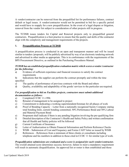A vendor/contractor can be removed from the prequalified list for performance failures, contract default or legal issues. A vendor/contractor would not be permitted to bid for a specific period and would have to reapply for a new prequalification. In the event of a legal dispute or litigation, removal from the vendor list subject to consideration of other projects still in progress.

The TCDSB issues tenders for Capital and Renewal projects only to prequalified general contractors. Prequalification is a best practice to ensure that the quality and skills of the contractor align with the complexity and management requirements of the projects.

# **1. Prequalification Process at TCDSB**

A prequalification process is conducted in an open and transparent manner and will be issued similar to tenders /proposals, will be publicly advertised by way of an electronic tendering network and advertised in other media as appropriate. This is in conformance with the requirements of the BPS Procurement Directive, as outlined in the Purchasing Procedures Manual.

# *TCDSB has an established prequalification evaluation matrix which scores a vendor/contractor for the following:*

- a) Evidence of sufficient experience and financial resources to satisfy the contract requirements
- b) Indications that the supplier can perform the contract promptly and within the time specified
- c) The quality of performance of previous contracts with the Board and others
- d) Quality, availability and adaptability of the goods/ services to the particular use required.

# *For prequalification to bid on Facilities projects, contractors must submit additional documentation as follows:*

- a) Completed CCDC 11-1996
- b) Résumé of management to be assigned to project
- c) Commitment to dedicating a working superintendent/foreman for all phases of work
- d) Proof of Bonding Capacity Letter from a nationally recognized Surety Company stating total bonding limit, current bonding committed; 50% Performance Bond and 50% Labour and Material Payment Bond
- e) Proponent shall indicate if there is any pending litigation involving the pre-qualifying firm
- f) Detailed description of the Contractor's Health and Safety Policy and written confirmation that all Health and Safety policies will be followed
- g) Current Certificate of Insurance
- h) Letter of Authorization to Obtain Financial Information and Perform Reference Checks
- i) WSIB Submission of Cost and Frequency and Forms CAD7 letter as issued by WSIB
- j) References References from a minimum of three clients or consultants including telephone and fax numbers in addition to those cited in CCDC 11 for similar type of work.

# *Prequalification submissions are evaluated and a score is assigned for each vendor/contractor.*

The overall attained score determines success; however, failure to meet a mandatory requirement will result in automatic disqualification. An approved list or roster is then established and those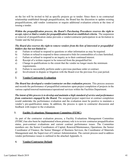on the list will be invited to bid as specific projects go to tender. Since there is no contractual relationship established through prequalification, the Board has the discretion to update existing prequalifications, add vendor /contractors or require additional evaluation criteria at the time of issuing a tender.

*Within the prequalification process, the Board's Purchasing Procedures reserves the right to accept, reject or limit a vendor for prequalification based on established criteria.* The suspension or removal of prequalification status prevents a vendor/contractor participation in an Invitation to Tender and the bid process.

# *The Board also reserves the right to remove vendors from the lists of interested or prequalified bidders due but not limited to:*

- a) Failure or refusal to respond to questions or other information as may be required.
- b) Failure or refusal to respond to three consecutive bids for commodities of a class furnished.
- c) Failure or refusal to respond to an inquiry as to their continued interest.
- d) Receipt of a written request to be removed from the prequalified list.
- e) Change in qualifications to the extent that the vendor no longer meets the minimum requirements.
- f) Failure to successfully perform under a previous purchase order or contract.
- g) Involvement in dispute or litigation with the Board over the previous five-year period.

# **2. Vendor/Contractor Evaluation**

*The Board has developed a vendor/contractor on-line evaluation process*. This process assesses and records the performance of prequalified contractors upon project completion of projects in the various capital/renewal/maintenance/operational services within the Facilities Department.

*The intent of this process is to develop and maintain a high standard of service and performance from contractors engaged by the Board.* The assigned project supervisor at contract completion would undertake the performance evaluation and the evaluation must be positive to maintain a vendor's pre-qualification status. In addition, the process is open to contractor discussion and feedback with respect to the evaluation.

# **3. Facility Evaluations Management Committee (FEMC)**

As part of the contractor evaluation process, a Facility Evaluations Management Committee (FEMC) has also been be implemented whose primary role is to review contractor prequalification status, post-contract evaluations and current contract performance issues. The Committee members are: the Senior Coordinators of Capital, Renewal/Maintenance, Operations; the Senior Coordinator of Finance; the Senior Manager of Business Services; the Coordinator of Materials Management and; the Supervisor of Contract Administration. The current process used to address vendor performance issues is outlined in the attached Appendix A.

# **4. Vendor/Contractor Default**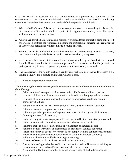It is the Board's expectation that the vendor/contractor's performance conforms to the requirements of the contract administration and accountability. The Board's Purchasing Procedures Manual outlines process for vendor default suspension and litigation:

- 1. Where a bidder/vendor fails to enter into or complete a contract awarded by the Board, the circumstances of the default shall be reported to the appropriate authority level. The report will recommend a course of action.
- 2. Where a vendor who has defaulted on a previously awarded Board contract is being considered for award of a contract, the report recommending the contract shall describe the circumstances of the previous default and will recommend a course of action.
- 3. Where a vendor has defaulted on a previous contract, and subsequently, awarded a contract, the contractor will provide the Board with a performance bond, if requested.
- 4. A vendor who fails to enter into or complete a contract awarded by the Board will be removed from the Board's vendor list for a minimum period of three years and will not be permitted to participate in any tenders, proposals or quotation until successfully reinstated.
- 5. The Board reserves the right to exclude a vendor from participating in the tender process if the vendor is involved in a dispute or litigation with the Board.

# 5. **Vendor Suspension or Removal**

# *The Board's right to remove or suspend a vendor/contractor shall include, but not be limited to, the following:*

- 1. Failure or refusal to respond to three consecutive bids for commodities requested;
- 2. Evidence of false or misleading information included in a bid or proposal submission;
- 3. Evidence of collusion with others other vendors or prospective vendors to restrain competitive bidding;
- 4. Failure to keep the offer firm for the period of time stated on the bid or quotation;
- 5. Failure to accept or complete the contract award;
- 6. Failure to provide a performance/payment bond when required by the bid documents following the award of a contract;
- 7. Failure to complete a service/project in the time specified by the contract or purchase order;
- 8. Failure to conform to contract specifications or delivery requirements;
- 9. Failure to make applicable adjustments or replacement of damaged goods;
- 10. Failure to honour warranties and guarantees on products or services delivered;
- 11. Persistent delivery of goods/services that do not comply with the contract specifications;
- 12. Persistent and documented poor performance or default on previous contracts;
- 13. Failure to maintain prequalified status in good standing;
- 14. Use on a sub contract basis of a suspended vendor/contractor;
- 15. Any violation of applicable laws of the Province or the Federal Government relating to procurement or the goods and/or services provided by the vendor;
- 16. Assignment in Bankruptcy or other evidence of insolvency of the bidder/proponent;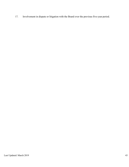17. Involvement in dispute or litigation with the Board over the previous five-year period.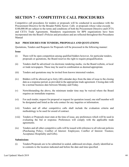# <span id="page-43-0"></span>**SECTION 7 - COMPETITIVE CALL PROCEDURES**

Competitive call procedures for tenders or proposals will be conducted in accordance with the Procurement Directive for the Broader Public Sector. Calls or proposals whose value exceeds \$100,000.00 are subject to the terms and conditions of both the Procurement Directive and CFTA and CETA Trade Agreements. Mandatory requirements for BPS organizations have been incorporated into the Board's Policies and procedures and are reflected throughout this Procedures Manual

# <span id="page-43-1"></span>**36.0 PROCEDURES FOR TENDERS, PROPOSALS AND QUOTATIONS**

Quotations, Tenders and Requests for Proposals will be processed in the following manner:

#### **Issue**

- (i) There will be open competition among qualified bidders however, for particular tenders, proposals or quotations, the Board reserves the right to require prequalification.
- (ii) Tenders shall be advertised via electronic tendering media, via the Board website, orlocal or trade newspapers. These may be used in combination as deemed appropriate.
- (iii) Tenders and quotations may be invited from known interested vendors.
- (iv) Bidders will be allowed up to forty (40) calendar days from the date of issue to the closing date as a response period, as provided in the appropriate trade agreement. Closing date with be a normal business date between Monday and Friday.
- (v) Notwithstanding the above, the minimum tender time may be waived where the Board requires an immediate response.
- (vi) For each tender, request for proposal or request for quotation issued, one staff member will be designated and listed as the sole contact for any inquiries or information.
- (vii) Tenders and all other competitive calls shall include the evaluation criteria and methodology to be used for award of contract.
- (viii) Tenders or Proposals must state at the time of issue, any preferences which will be used in evaluating the bid or response. Preferences will comply with the applicable trade agreements.
- (ix) Tenders and all other competitive calls will be issued with reference to all relevant policies (Purchasing Policy; Conflict of Interest: Employees; Conflict of Interest: Trustees; Acceptance Hospitality and Gifts).

#### **Submissions**

(i) Tenders/Proposals are to be submitted in sealed, addressed envelope, clearly identified as to contents to the location indicated and before the date and time specified.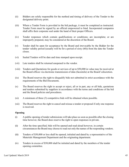- (ii) Bidders are solely responsible for the method and timing of delivery of the Tender to the designated delivery point.
- (iii) Where a Tender Form is provided in the bid package, it must be completed as instructed. Tender Form must be signed by an official empowered to bind. Incorporated companies shall affix their corporate seal under the hand of their proper Officers.
- (iv) Tender responses which contain qualifications or conditions; are incomplete; or are improperly prepared, may be considered at the discretion of the Board.
- (v) Tender shall be open for acceptance by the Board and irrevocable by the Bidder for the tender validity period (usually will be for a period of sixty (60)) from the date the Tender closes.
- (vi) Sealed Tenders will be date and time stamped upon receipt.
- (vii) Late tenders shall be returned unopened to the vendor.
- (viii) Tenders and Quotations for goods or services of up to \$50,000 in value may be received at the Board offices via electronic transmission of data (facsimile) at the Board's discretion.
- (ix) The Board reserves the right to disqualify bids not submitted in strict accordance with the requirements of the Bid Documents.
- (x) The Board reserves the right to accept or reject, all or in part, any or all bids, quotations and tenders submitted by suppliers in accordance with the terms and conditions of the bid and the Board policies and procedures.
- (xi) A minimum of three (3) competitive bids will be obtained where possible.
- (xii) The Board reserves the right to cancel and reissue a tender or proposal if only one response is received.

#### **Opening**

- (i) A public opening of tender submissions will take place as soon as possible after the closing time however, the Board does reserve the right to open responses in private.
- (ii) After the time specified, bids will be opened and read aloud however, in certain circumstances the Board may choose to read out only the names of the responding vendors.
- (iii) Tenders of \$50,000 or less shall be opened, initialed and dated by a representative of the Materials Management Department and the originating department.
- (iv) Tenders in excess of \$50,000 shall be initialed and dated by the members of the tender opening committee.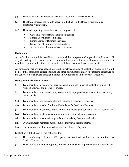- (v) Tenders without the proper bid security, if required, will be disqualified.
- (vi) The Board reserves the right to accept a bid which, in the Board's discretion, is substantially compliant.
- (vii) The tender opening committee will be composed of:
	- Coordinator Materials Management (chair).
	- Senior Coordinator of Finance.
	- Senior Manager Business Services.
	- Supervisor of Contract Administration.
	- A Department Representative as necessary.

#### **Evaluation**

An evaluation team will be established to review all bids/responses. Composition of the team will vary depending on the nature of the procurement however each team will have a minimum of 3 members of whom at least one representative will be a Business Services representative.

All discussions are confidential and may not be disclosed outside of evaluation meetings. It should be noted that that notes, correspondence and other documentation may be subject to disclosure at the conclusion of an award through in either an FOI request or in the event of litigation.

#### **Duties of the Evaluation Team**

- (i) Team members have a duty of care to ensure a fair and impartial evaluation which will result in a factual and defensible award.
- (ii) Team members may consider only compliant bids/proposals that have met all mandatory requirements.
- (iii) Team members may consider alternatives only if previously requested.
- (iv) Team members must be familiar with the Board's Conflict of Interest.
- (v) Team members must be free of any conflict and must sign a conflict of interest declaration.
- (vi) Team members must sign a confidentiality and non disclosure agreement.
- (vii) Team members must not divulge information arising from the evaluation.
- (viii) Evaluation team members must complete individual scoring matrix.
- (ix) Documentation will be retained for a period of seven (7) years.

Evaluation will be based on but not limited to:

- (i) The conformity of the bid/proposal as outlined within the Instructions to Bidders/Proponents.
- (ii) The extent to which the bid/proposal meets all mandatory requirements of the solicitation.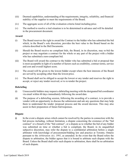- (iii) Deemed capabilities, understanding of the requirements, integrity, reliability, and financial stability of the supplier to meet the requirements of the Board.
- (iv) The aggregate score of all of the evaluation criteria listed including price.
- (v) The method to resolve a tied situation is to be determined in advance and will be detailed in the procurement document.

#### **Award**

- (i) The Board reserves the right to award the Contract to the bidder who has submitted the bid which, in the Board's sole discretion, provides the best value to the Board based on the criteria described in the Bid Documents.
- (ii) Should the Board receive no compliant bids, the Board, in its discretion, may re-bid the project or may negotiate a contract for the whole or any part of the project with a bidder who has submitted a non-compliant bid.
- (iii) The Board will award the contract to the bidder who has submitted a bid or proposal that is most acceptable in light of a number of factors such as credibility, contract terms, service and cost and overall highest score.
- (iv) The award will be given to the lowest bidder except where the best interests of the Board are served by accepting other than the lowest price.
- (v) The Board shall not be obliged to accept the lowest or any tender and reserves the right to accept, or reject any tender received, or to re-tender the project.

#### **Debriefing**

- (i) Unsuccessful bidders may request a debriefing meeting with the designated bid coordinator via email within 60 days immediately following the award date.
- (ii) The purpose of a debriefing session, following the awarding of a contract, is to provide a vendor with an opportunity to discuss the submission and ask any questions that may help them to understand the tender /proposal process and the award decision. This may also assist in their preparation of future bid/responses.

#### **Dispute**

(i) In the event a dispute arises which cannot be resolved by the parties in connection with the bid process including, without limitation, a dispute concerning the existence of the "bid contract" or a breach of the "bid contract", or a dispute as to whether the bid of any bidder was submitted on time or whether a bid is compliant, the Board, in its unqualified subjective discretion, may refer the dispute to a confidential arbitration before a single arbitrator with knowledge of procurement/bidding law and practice at Toronto, Ontario pursuant to the *Arbitration Act, 1991*, as amended. In the event that the Board refers the dispute to arbitration, the bidder agrees that it is bound to arbitrate such dispute with the Board. Unless the Board shall refer such dispute to arbitration, there shall be no arbitration of such dispute.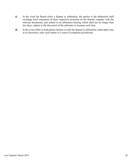- (ii) In the event the Board refers a dispute to arbitration, the parties to the arbitration shall exchange brief statements of their respective positions on the dispute, together with the relevant documents, and submit to an arbitration hearing which shall last no longer than two days, subject to the discretion of the arbitrator to increase such time.
- (iii) In the event either or both parties decline to refer the dispute to arbitration, either party may at its discretion, refer such matter to a court of competent jurisdiction.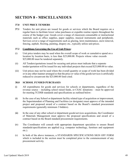# <span id="page-48-0"></span>**SECTION 8 - MISCELLANEOUS**

# <span id="page-48-1"></span>**37.0 UNIT PRICE TENDERS**

**37.1** Tenders for unit prices are issued for goods or services which the Board requires on a regular basis to facilitate lower value purchases or expedite routine repairs throughout the course of the budget year. Goods cover a range of classroom consumable or instructional materials such as office supplies, paper supplies, musical instruments and peripherals. Services cover a range of requirements such as glazing, lawn maintenance, snow removal, fencing, asphalt, flooring, painting, drapery etc., typically utilize unit prices.

#### **37.2 Conditions Governing the Use of Unit Prices:**

- (i) Unit price tenders may be used when the overall scope of work or cumulative spend on a location by location basis, is less than \$25,000.00. Projects whose value exceeds \$25,000.00 must be tendered separately.
- (ii) All Tenders/quotations issued for securing unit prices must indicate that a separate tender/quotation will be issued for any individual projects that exceed \$25,000.00 in value.
- (iii) Unit prices may not be used where the overall quantity or scope of work has been divided or in any other manner arranged so that the price or value of the goods/services is artificially reduced to circumvent the \$25,000.00 limit cited.

#### <span id="page-48-2"></span>**38.0 SCHOOL FUNDED PURCHASES**

- (i) All expenditures for goods and services for schools or departments, regardless of the revenue source – including school raised funds, or CSAC donations – must be approved for meeting TCDSB standards and specifications as outlined below:
- (ii) In the case of any School or department facility related type of acquisition or improvement, the Superintendent of Planning and Facilities (or designate) must approve of the intended project and proposed award of a contract based on the Board's standard procurement requirements (generally minimum 3 bidders).
- (iii) In the case of any other school or department goods/services acquisitions, the Coordinator of Materials Management must approve the proposed specifications and award of a contract based on the Board standard procurement requirements.
- (iv) The Coordinator will consult with appropriate department specialists to ensure Board standards/specifications are applied (e.g. computer technology, furniture and equipment etc.).
- (v) In both of the above instances, a STANDARDS SPECIFICATIONS SIGN OFF FORM which is included in the section must be completed prior to the commencement of any procurement activity.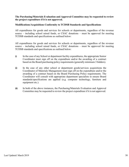#### **The Purchasing/Materials Evaluation and Approval Committee may be requested to review the project expenditure if it is not approved.**

#### **Modifications/Acquisitions Conformity to TCDSB Standards and Specifications**

All expenditures for goods and services for schools or departments, regardless of the revenue source – including school raised funds, or CSAC donations – must be approved for meeting TCDSB standards and specifications as outlined below:

All expenditures for goods and services for schools or departments, regardless of the revenue source – including school raised funds, or CSAC donations – must be approved for meeting TCDSB standards and specifications as outlined below:

- (i) In the case of any School or department facility expenditures, the appropriate Senior Coordinator must sign off on the expenditure and/or the awarding of a contract based on the Board purchasing policy requirements (generally minimum 3 bidders).
- (ii) In the case of any other school or department goods/services acquisitions the Coordinator of Materials Management must sign off on the expenditure and/or the awarding of a contract based on the Board Purchasing Policy requirements. The Coordinator will consult with appropriate department specialists to ensure Board standards/specifications are applied (e.g. computer technology, furniture and equipment etc.).
- (iii) In both of the above instances, the Purchasing/Materials Evaluation and Approval Committee may be requested to review the project expenditure if it is not approved.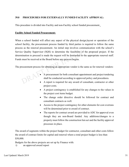# <span id="page-50-0"></span>**39.0 PROCEDURES FOR EXTERNALLY FUNDED FACILITY APPROVAL:**

This procedure is divided into Facility and non-Facility school funded procurement.

#### **Facility School Funded Procurement:**

When a school funded will affect any aspect of the physical design,layout or operation of the school facility, the procurement process funded by third parties is required to follow the same process as the renewal procurement. An initial step involves communication with the school's Service Quality Supervisor (SQS) to determine the feasibility of the proposed project. If the determination to proceed is made the request will be forwarded to the appropriate renewal staff. Funds must be received at the Board before any process begins.

The procurement process for obtaining an appropriate vendor is the same as for renewal vendors:

- A procurement for both consultant appointment and project tendering shall be conducted according to approved policy and procedures.
- A report is required for any award of consultant, contractor or other project costs.
- A project contingency is established for any changes to the values in the project cost items budget.
- The change order directive should be followed for contract and consultant contracts as well.
- Access to the project contingency for other elements for cost overruns will be determined prior to award of contract.
- The reports for contract award are provided to ADC for approval even though they are non-Board funded. Any additions/changes to a property must follow the construction lien act and the facility approval processes in place.

The award of segments within the project budget for contractor, consultant and other costs follow the award of contract limits for capital and renewal where a total project budget is less than \$50,000.

Budgets for the above projects are set up by Finance with:

i) an approved award report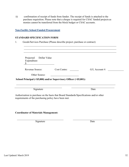ii) confirmation of receipt of funds from funder. The receipt of funds is attached to the purchase requisition. Please note that a cheque is required for CSAC funded projects as monies cannot be transferred from the block budget or CSAC accounts.

#### **Non-Facility School Funded Procurement**

#### **STANDARD SPECIFICATION FORM**

1. Goods/Services Purchase (Please describe project; purchase or contract)

| Projected<br>Dollar Value<br>Expenditure |                                                                    |                  |
|------------------------------------------|--------------------------------------------------------------------|------------------|
| Revenue Source:                          | Cost Centre:                                                       | $G/L$ Account #: |
| Other Source:                            |                                                                    |                  |
|                                          |                                                                    |                  |
|                                          | School Principal (<\$5,000) and/or Supervisory Officer (>\$5,001): |                  |

# **Coordinator of Materials Management:**

Signature Date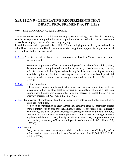# <span id="page-52-0"></span>**SECTION 9 - LEGISLATIVE REQUIREMENTS THAT IMPACT PROCUREMENT ACTIVITIES**

# <span id="page-52-1"></span>**40.0 THE EDUCATION ACT, SECTION 217**

The Education Act section 217 prohibits Board employees from selling, books, learning materials, supplies or equipment to any school board or a pupil enrolled in a school board. An exception exists for an employee as an author receiving a royalty.

In addition an outside organization is prohibited from employing either directly or indirectly, a school board employee to sell books, learning materials, supplies or equipment to any school board or a pupil enrolled in a school board.

**[217. \(](http://www.e-laws.gov.on.ca/html/statutes/french/elaws_statutes_90e02_f.htm#s217s1)**1) Promotion or sale of books, etc., by employees of board or Ministry to board, pupil, etc., prohibited.

> No teacher, supervisory officer or other employee of a board or of the Ministry shall, for compensation of any kind other than his or her salary as such employee, promote, offer for sale or sell, directly or indirectly, any book or other teaching or learning materials, equipment, furniture, stationery or other article to any board, provincial school or teachers' college, or to any pupil enrolled therein. R.S.O. 1990, c. E.2, s. 217 (1).

217. [\(2\)](http://www.e-laws.gov.on.ca/html/statutes/french/elaws_statutes_90e02_f.htm#s217s2) Exception for authors

Subsection (1) does not apply to a teacher, supervisory officer or any other employee in respect of a book or other teaching or learning materials of which he or she is an author where the only compensation that he or she receives in respect thereof is a fee or royalty thereon. R.S.O. 1990, c. E.2, s. 217 (2).

**217.** [\(3\)](http://www.e-laws.gov.on.ca/html/statutes/french/elaws_statutes_90e02_f.htm#s217s2) Employment of employee of board or Ministry to promote sale of books, etc., to board, pupil, etc., prohibited.

No person or organization or agent thereof shall employ a teacher, supervisory officer or other employee of a board or of the Ministry to promote, offer forsale or sell, directly or indirectly, any book or other teaching or learning materials, equipment, furniture, stationery or other article to any board, provincial school or teachers' college, or to any pupil enrolled therein, or shall, directly or indirectly, give or pay compensation to any such teacher, supervisory officer or employee for such purpose. R.S.O. 1990, c. E.2, s. 217 (3).

# **217.** [\(4\)](http://www.e-laws.gov.on.ca/html/statutes/french/elaws_statutes_90e02_f.htm#s217s2) Penalty

Every person who contravenes any provision of subsection (1) or (3) is guilty of an offence and on conviction is liable to a fine of not more than \$1,000. R.S.O. 1990, c. E.2, s. 217 (4).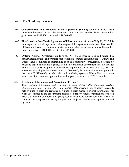# **40. The Trade Agreements**

- **40.1 Comprehensive and Economic Trade Agreement (CETA)** CETA is a free trade agreement between Canada, the European Union and its Member States. Thresholds: goods/services **\$340,600**; construction **\$8,500,000**
- **40.2 The Canadian Free Trade Agreement (CFTA) came into effect as of July 1<sup>st</sup>, 2017. It is** an interprovincial trade agreement, which replaced the Agreement on Internal Trade (AIT). CFTA promotes open procurement practices among public sector organizations. Thresholds: Goods and services **\$100,000**; construction **\$250,000**
- 40.3 **Ontario- Quebec Agreement** builds on the AIT, being more specific and designed to further liberalize trade and promote cooperation on common economic issues. Ontario and Quebec have committed to maintaining open and competitive procurement practices by requiring organizations and agencies within the provincial government and the Broader Public Sector (BPS) to publish procurement opportunities in excess of \$100,000. This agreement also adopted has a lower threshold (\$100,000) for construction tenders/proposals than the AIT (\$250,000). A public electronic tendering system will be utilized to broaden awareness of procurement opportunities within government and the BPS for suppliers.

#### **40.4 Freedom of Information and Protection of Privacy Act**

The *Freedom of Information and Protection of Privacy Act (FIPPA)/ Municipal Freedom of Information and Protection of Privacy Act(MFIPPA)* provide a right of access to records held by public bodies and regulates how public bodies manage personal information.This right also extends to the procurement process of publicly funded organizations who can receive a freedom of information (FOI) request relating to tender document, award or contract. These requests are usually complied with subject to disclosure exceptions provided by the act.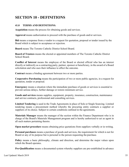# <span id="page-54-0"></span>**SECTION 10 - DEFINITIONS**

# <span id="page-54-1"></span>**41.0 TERMS AND DEFINITIONS:**

**Acquisition** means the process for obtaining goods and services.

**Approval** means authorization to proceed with the purchase of goods and/or services.

**Bid** means a response from a vendor to a request for quotation, proposal or tender issued by the Board which is subject to acceptance or rejection.

**Board** means The Toronto Catholic District School Board.

**Board of Trustees** means the elected or appointed members of The Toronto Catholic District School Board.

**Conflict of Interest** means the employee of the Board or elected official who has an interest directly or indirectly as a contracting party, partner, sponsor or beneficiary, in the award of a Board solicitation and who uses their influence to affect the outcome.

**Contract** means a binding agreement between two or more parties.

**Cooperative Purchasing** means the participation of two or more public agencies, in a request for quotation, tender or proposal.

**Emergency** means a situation where the immediate purchase of goods or services is essential to prevent serious delays, further damage or restore minimum service.

**Goods and services** means supplies, equipment, property, insurance, construction, maintenance and service contracts, professional and consulting services.

**Limited Tendering** is used in the Trade Agreements in place of Sole or Single Sourcing. Limited tendering means a procurement method whereby the procuring entity contracts a supplier or suppliers of its choice. Subject to certain conditions outlined in the agreements.

**Materials Manager** means the manager of the section within the Finance Department who is in charge of the Board's Materials Management program and is hereby authorized to act as agent in all such matters pertaining thereto.

**Open market procedure** means obtaining price quotations from suppliers verbally or in writing.

**Personal purchases** means a purchase of goods and services, the requirement for which is not for Board or any of its purpose but is personal to the person requesting the purchase.

**Policy** means a basic philosophy, climate and direction, and determine the major values upon which the Board operates.

**Pre-Qualification** means a documented system whereby suppliers are pre-established in advance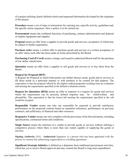of a project utilizing clearly defined criteria and requested information developed by the originator of the project.

**Procedure** means a set of steps or instructions for carrying out a specific activity, guidelines and, the specific action sequences. How a policy is to be carried out.

**Procurement** means the combined functions of purchasing, contract administration and disposal of surplus equipment and supplies.

**Proposal** means an offer from a supplier to provide goods and services, acceptance of which may be subject to further negotiation.

**Purchase order** means a written offer to purchase goods and services or a written acceptance of an offer where such offer has been made on forms prescribed by the Board.

**Purchasing Card (P-Card)** means a charge card issued to authorized Board staff for the purchase of low dollar valued items.

**Quotation** means an offer from a supplier to sell goods and services to or buy them from the Board.

#### **Request for Proposal (RFP)**:

A Request for Proposal in which both parties can further discuss needs, goods and or services to fill those needs in a particular manner or with products to be created for that purpose. The expectation is that the proposal offered by the highest ranked proponent resulting from an evaluation and meeting the requirements specified in the defined evaluation criteria.

**Request for Quotation (RFQ)** means an offer in response to a request for goods and services where the requirements can be precisely defined response may be verbal/written and phoned/fax. The expectation is that the lowest bid meeting the requirements specified in the call would be accepted

**Responsible Vendor** means one who can reasonably be expected to provide satisfactory performance on the proposed contract based on reputation references, performance on previous contracts; and sufficiency of financial and other resources.

**Responsive Vendor** means one who complies with the provisions of the bid solicitation, including specifications, contractual terms and conditions.

**Single Source** means the selection of a vendor to provide goods or services without utilizing a competitive process where there is more than one vendor capable of supplying the goods or services.

**Signing Authority** (SA) / **Authorized** Signatory is a person who has been appointed with the powers to commit the authorizing organization to a binding agreement.

**Significant Strategic Initiative** is defined as a departure from traditional procurement activities, which has yet to receive Board approval and may commit the Board to long term expenditures